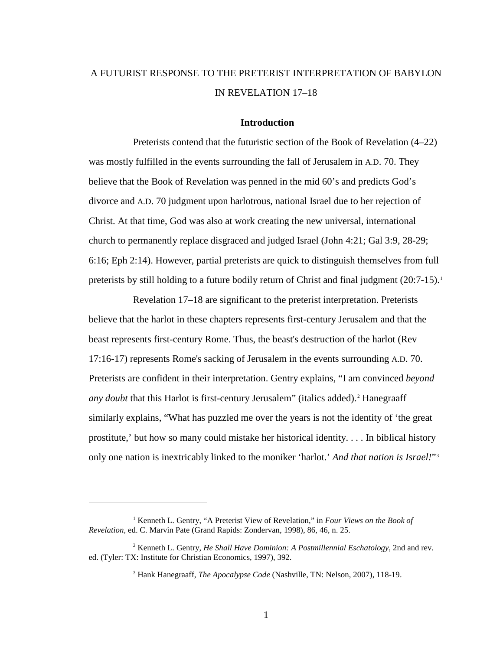# A FUTURIST RESPONSE TO THE PRETERIST INTERPRETATION OF BABYLON IN REVELATION 17–18

# **Introduction**

Preterists contend that the futuristic section of the Book of Revelation (4–22) was mostly fulfilled in the events surrounding the fall of Jerusalem in A.D. 70. They believe that the Book of Revelation was penned in the mid 60's and predicts God's divorce and A.D. 70 judgment upon harlotrous, national Israel due to her rejection of Christ. At that time, God was also at work creating the new universal, international church to permanently replace disgraced and judged Israel (John 4:21; Gal 3:9, 28-29; 6:16; Eph 2:14). However, partial preterists are quick to distinguish themselves from full preterists by still holding to a future bodily return of Christ and final judgment (20:7-[1](#page-0-0)5).<sup>1</sup>

Revelation 17–18 are significant to the preterist interpretation. Preterists believe that the harlot in these chapters represents first-century Jerusalem and that the beast represents first-century Rome. Thus, the beast's destruction of the harlot (Rev 17:16-17) represents Rome's sacking of Jerusalem in the events surrounding A.D. 70. Preterists are confident in their interpretation. Gentry explains, "I am convinced *beyond any doubt* that this Harlot is first-century Jerusalem" (italics added).<sup>[2](#page-0-1)</sup> Hanegraaff similarly explains, "What has puzzled me over the years is not the identity of 'the great prostitute,' but how so many could mistake her historical identity. . . . In biblical history only one nation is inextricably linked to the moniker 'harlot.' *And that nation is Israel!*["3](#page-0-2)

<span id="page-0-0"></span><sup>1</sup> Kenneth L. Gentry, "A Preterist View of Revelation," in *Four Views on the Book of Revelation*, ed. C. Marvin Pate (Grand Rapids: Zondervan, 1998), 86, 46, n. 25.

<span id="page-0-2"></span><span id="page-0-1"></span><sup>2</sup> Kenneth L. Gentry, *He Shall Have Dominion: A Postmillennial Eschatology*, 2nd and rev. ed. (Tyler: TX: Institute for Christian Economics, 1997), 392.

<sup>3</sup> Hank Hanegraaff, *The Apocalypse Code* (Nashville, TN: Nelson, 2007), 118-19.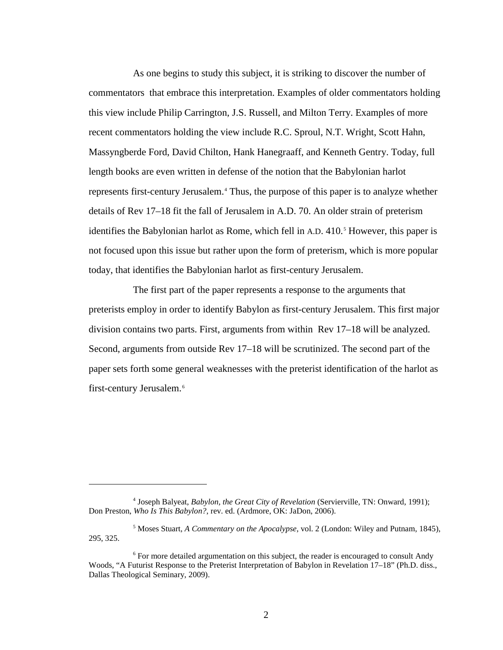As one begins to study this subject, it is striking to discover the number of commentators that embrace this interpretation. Examples of older commentators holding this view include Philip Carrington, J.S. Russell, and Milton Terry. Examples of more recent commentators holding the view include R.C. Sproul, N.T. Wright, Scott Hahn, Massyngberde Ford, David Chilton, Hank Hanegraaff, and Kenneth Gentry. Today, full length books are even written in defense of the notion that the Babylonian harlot represents first-century Jerusalem.[4](#page-1-0) Thus, the purpose of this paper is to analyze whether details of Rev 17–18 fit the fall of Jerusalem in A.D. 70. An older strain of preterism identifies the Babylonian harlot as Rome, which fell in A.D. 410.<sup>[5](#page-1-1)</sup> However, this paper is not focused upon this issue but rather upon the form of preterism, which is more popular today, that identifies the Babylonian harlot as first-century Jerusalem.

The first part of the paper represents a response to the arguments that preterists employ in order to identify Babylon as first-century Jerusalem. This first major division contains two parts. First, arguments from within Rev 17–18 will be analyzed. Second, arguments from outside Rev 17–18 will be scrutinized. The second part of the paper sets forth some general weaknesses with the preterist identification of the harlot as first-century Jerusalem. [6](#page-1-2)

<span id="page-1-0"></span><sup>4</sup> Joseph Balyeat, *Babylon, the Great City of Revelation* (Servierville, TN: Onward, 1991); Don Preston, *Who Is This Babylon?*, rev. ed. (Ardmore, OK: JaDon, 2006).

<span id="page-1-1"></span><sup>5</sup> Moses Stuart, *A Commentary on the Apocalypse*, vol. 2 (London: Wiley and Putnam, 1845), 295, 325.

<span id="page-1-2"></span><sup>&</sup>lt;sup>6</sup> For more detailed argumentation on this subject, the reader is encouraged to consult Andy Woods, "A Futurist Response to the Preterist Interpretation of Babylon in Revelation 17–18" (Ph.D. diss., Dallas Theological Seminary, 2009).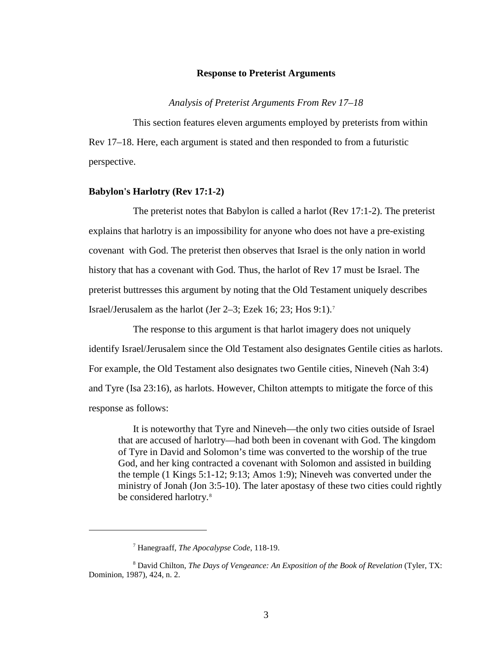#### **Response to Preterist Arguments**

*Analysis of Preterist Arguments From Rev 17–18*

This section features eleven arguments employed by preterists from within Rev 17–18. Here, each argument is stated and then responded to from a futuristic perspective.

### **Babylon's Harlotry (Rev 17:1-2)**

The preterist notes that Babylon is called a harlot (Rev 17:1-2). The preterist explains that harlotry is an impossibility for anyone who does not have a pre-existing covenant with God. The preterist then observes that Israel is the only nation in world history that has a covenant with God. Thus, the harlot of Rev 17 must be Israel. The preterist buttresses this argument by noting that the Old Testament uniquely describes Israel/Jerusalem as the harlot (Jer 2–3; Ezek 16; 23; Hos 9:1).[7](#page-2-0)

The response to this argument is that harlot imagery does not uniquely identify Israel/Jerusalem since the Old Testament also designates Gentile cities as harlots. For example, the Old Testament also designates two Gentile cities, Nineveh (Nah 3:4) and Tyre (Isa 23:16), as harlots. However, Chilton attempts to mitigate the force of this response as follows:

It is noteworthy that Tyre and Nineveh—the only two cities outside of Israel that are accused of harlotry—had both been in covenant with God. The kingdom of Tyre in David and Solomon's time was converted to the worship of the true God, and her king contracted a covenant with Solomon and assisted in building the temple (1 Kings 5:1-12; 9:13; Amos 1:9); Nineveh was converted under the ministry of Jonah (Jon 3:5-10). The later apostasy of these two cities could rightly be considered harlotry.<sup>[8](#page-2-1)</sup>

<sup>7</sup> Hanegraaff, *The Apocalypse Code*, 118-19.

<span id="page-2-1"></span><span id="page-2-0"></span><sup>8</sup> David Chilton, *The Days of Vengeance: An Exposition of the Book of Revelation* (Tyler, TX: Dominion, 1987), 424, n. 2.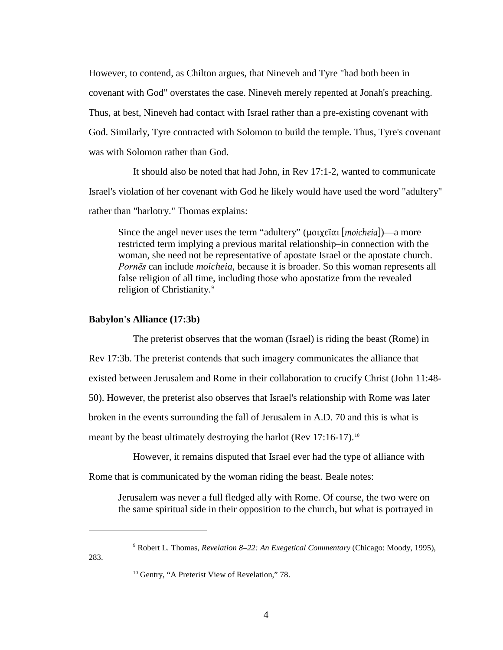However, to contend, as Chilton argues, that Nineveh and Tyre "had both been in covenant with God" overstates the case. Nineveh merely repented at Jonah's preaching. Thus, at best, Nineveh had contact with Israel rather than a pre-existing covenant with God. Similarly, Tyre contracted with Solomon to build the temple. Thus, Tyre's covenant was with Solomon rather than God.

It should also be noted that had John, in Rev 17:1-2, wanted to communicate Israel's violation of her covenant with God he likely would have used the word "adultery" rather than "harlotry." Thomas explains:

Since the angel never uses the term "adultery" (μοιχεῖαι [*moicheia*])—a more restricted term implying a previous marital relationship–in connection with the woman, she need not be representative of apostate Israel or the apostate church. *Pornēs* can include *moicheia*, because it is broader. So this woman represents all false religion of all time, including those who apostatize from the revealed religion of Christianity.<sup>[9](#page-3-0)</sup>

### **Babylon's Alliance (17:3b)**

 $\overline{a}$ 

<span id="page-3-1"></span><span id="page-3-0"></span>283.

The preterist observes that the woman (Israel) is riding the beast (Rome) in Rev 17:3b. The preterist contends that such imagery communicates the alliance that existed between Jerusalem and Rome in their collaboration to crucify Christ (John 11:48- 50). However, the preterist also observes that Israel's relationship with Rome was later broken in the events surrounding the fall of Jerusalem in A.D. 70 and this is what is meant by the beast ultimately destroying the harlot (Rev 17:16-17).<sup>[10](#page-3-1)</sup>

However, it remains disputed that Israel ever had the type of alliance with Rome that is communicated by the woman riding the beast. Beale notes:

Jerusalem was never a full fledged ally with Rome. Of course, the two were on the same spiritual side in their opposition to the church, but what is portrayed in

<sup>9</sup> Robert L. Thomas, *Revelation 8–22: An Exegetical Commentary* (Chicago: Moody, 1995),

 $10$  Gentry, "A Preterist View of Revelation," 78.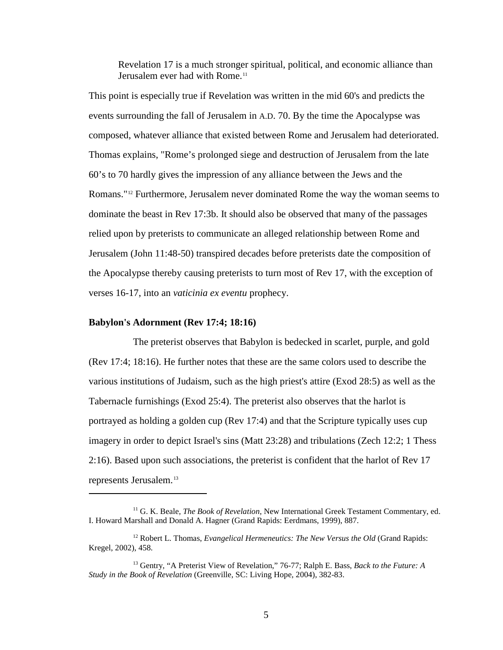Revelation 17 is a much stronger spiritual, political, and economic alliance than Jerusalem ever had with Rome.<sup>[11](#page-4-0)</sup>

This point is especially true if Revelation was written in the mid 60's and predicts the events surrounding the fall of Jerusalem in A.D. 70. By the time the Apocalypse was composed, whatever alliance that existed between Rome and Jerusalem had deteriorated. Thomas explains, "Rome's prolonged siege and destruction of Jerusalem from the late 60's to 70 hardly gives the impression of any alliance between the Jews and the Romans."[12](#page-4-1) Furthermore, Jerusalem never dominated Rome the way the woman seems to dominate the beast in Rev 17:3b. It should also be observed that many of the passages relied upon by preterists to communicate an alleged relationship between Rome and Jerusalem (John 11:48-50) transpired decades before preterists date the composition of the Apocalypse thereby causing preterists to turn most of Rev 17, with the exception of verses 16-17, into an *vaticinia ex eventu* prophecy.

### **Babylon's Adornment (Rev 17:4; 18:16)**

 $\overline{a}$ 

The preterist observes that Babylon is bedecked in scarlet, purple, and gold (Rev 17:4; 18:16). He further notes that these are the same colors used to describe the various institutions of Judaism, such as the high priest's attire (Exod 28:5) as well as the Tabernacle furnishings (Exod 25:4). The preterist also observes that the harlot is portrayed as holding a golden cup (Rev 17:4) and that the Scripture typically uses cup imagery in order to depict Israel's sins (Matt 23:28) and tribulations (Zech 12:2; 1 Thess 2:16). Based upon such associations, the preterist is confident that the harlot of Rev 17 represents Jerusalem.[13](#page-4-2)

<span id="page-4-0"></span><sup>11</sup> G. K. Beale, *The Book of Revelation*, New International Greek Testament Commentary, ed. I. Howard Marshall and Donald A. Hagner (Grand Rapids: Eerdmans, 1999), 887.

<span id="page-4-1"></span><sup>&</sup>lt;sup>12</sup> Robert L. Thomas, *Evangelical Hermeneutics: The New Versus the Old* (Grand Rapids: Kregel, 2002), 458.

<span id="page-4-2"></span><sup>13</sup> Gentry, "A Preterist View of Revelation," 76-77; Ralph E. Bass, *Back to the Future: A Study in the Book of Revelation* (Greenville, SC: Living Hope, 2004), 382-83.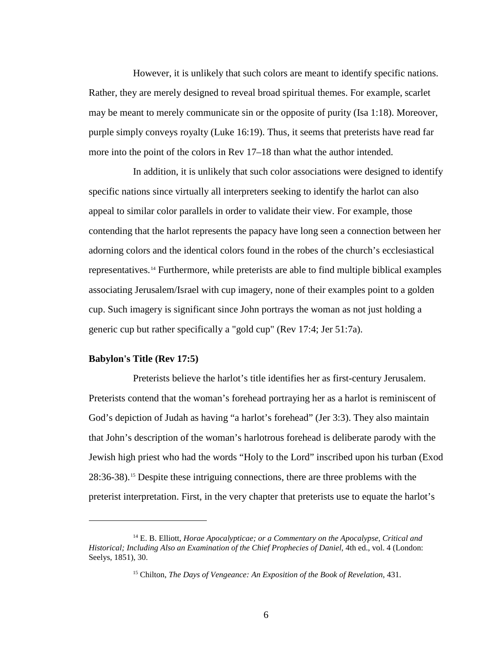However, it is unlikely that such colors are meant to identify specific nations. Rather, they are merely designed to reveal broad spiritual themes. For example, scarlet may be meant to merely communicate sin or the opposite of purity (Isa 1:18). Moreover, purple simply conveys royalty (Luke 16:19). Thus, it seems that preterists have read far more into the point of the colors in Rev 17–18 than what the author intended.

In addition, it is unlikely that such color associations were designed to identify specific nations since virtually all interpreters seeking to identify the harlot can also appeal to similar color parallels in order to validate their view. For example, those contending that the harlot represents the papacy have long seen a connection between her adorning colors and the identical colors found in the robes of the church's ecclesiastical representatives.<sup>[14](#page-5-0)</sup> Furthermore, while preterists are able to find multiple biblical examples associating Jerusalem/Israel with cup imagery, none of their examples point to a golden cup. Such imagery is significant since John portrays the woman as not just holding a generic cup but rather specifically a "gold cup" (Rev 17:4; Jer 51:7a).

### **Babylon's Title (Rev 17:5)**

 $\overline{a}$ 

Preterists believe the harlot's title identifies her as first-century Jerusalem. Preterists contend that the woman's forehead portraying her as a harlot is reminiscent of God's depiction of Judah as having "a harlot's forehead" (Jer 3:3). They also maintain that John's description of the woman's harlotrous forehead is deliberate parody with the Jewish high priest who had the words "Holy to the Lord" inscribed upon his turban (Exod 28:36-38).[15](#page-5-1) Despite these intriguing connections, there are three problems with the preterist interpretation. First, in the very chapter that preterists use to equate the harlot's

<span id="page-5-1"></span><span id="page-5-0"></span><sup>14</sup> E. B. Elliott, *Horae Apocalypticae; or a Commentary on the Apocalypse, Critical and Historical; Including Also an Examination of the Chief Prophecies of Daniel*, 4th ed., vol. 4 (London: Seelys, 1851), 30.

<sup>15</sup> Chilton, *The Days of Vengeance: An Exposition of the Book of Revelation*, 431.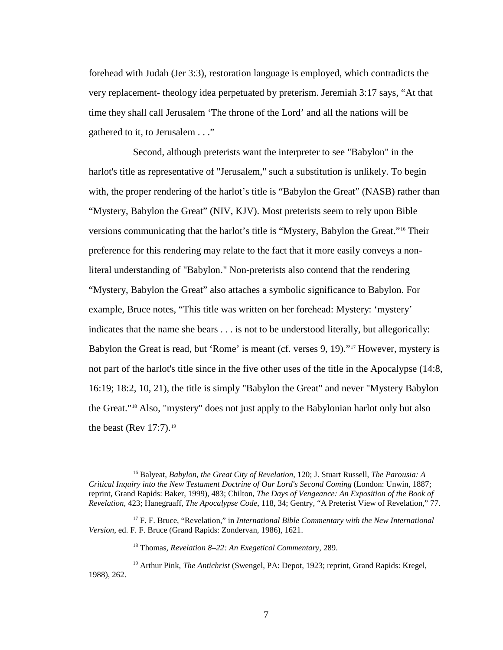forehead with Judah (Jer 3:3), restoration language is employed, which contradicts the very replacement- theology idea perpetuated by preterism. Jeremiah 3:17 says, "At that time they shall call Jerusalem 'The throne of the Lord' and all the nations will be gathered to it, to Jerusalem . . ."

Second, although preterists want the interpreter to see "Babylon" in the harlot's title as representative of "Jerusalem," such a substitution is unlikely. To begin with, the proper rendering of the harlot's title is "Babylon the Great" (NASB) rather than "Mystery, Babylon the Great" (NIV, KJV). Most preterists seem to rely upon Bible versions communicating that the harlot's title is "Mystery, Babylon the Great."[16](#page-6-0) Their preference for this rendering may relate to the fact that it more easily conveys a nonliteral understanding of "Babylon." Non-preterists also contend that the rendering "Mystery, Babylon the Great" also attaches a symbolic significance to Babylon. For example, Bruce notes, "This title was written on her forehead: Mystery: 'mystery' indicates that the name she bears . . . is not to be understood literally, but allegorically: Babylon the Great is read, but 'Rome' is meant (cf. verses 9, 19)."[17](#page-6-1) However, mystery is not part of the harlot's title since in the five other uses of the title in the Apocalypse (14:8, 16:19; 18:2, 10, 21), the title is simply "Babylon the Great" and never "Mystery Babylon the Great."[18](#page-6-2) Also, "mystery" does not just apply to the Babylonian harlot only but also the beast (Rev  $17:7$ ).<sup>[19](#page-6-3)</sup>

<span id="page-6-0"></span><sup>16</sup> Balyeat, *Babylon, the Great City of Revelation*, 120; J. Stuart Russell, *The Parousia: A Critical Inquiry into the New Testament Doctrine of Our Lord's Second Coming* (London: Unwin, 1887; reprint, Grand Rapids: Baker, 1999), 483; Chilton, *The Days of Vengeance: An Exposition of the Book of Revelation*, 423; Hanegraaff, *The Apocalypse Code*, 118, 34; Gentry, "A Preterist View of Revelation," 77.

<span id="page-6-1"></span><sup>&</sup>lt;sup>17</sup> F. F. Bruce, "Revelation," in *International Bible Commentary with the New International Version*, ed. F. F. Bruce (Grand Rapids: Zondervan, 1986), 1621.

<sup>18</sup> Thomas, *Revelation 8–22: An Exegetical Commentary*, 289.

<span id="page-6-3"></span><span id="page-6-2"></span><sup>19</sup> Arthur Pink, *The Antichrist* (Swengel, PA: Depot, 1923; reprint, Grand Rapids: Kregel, 1988), 262.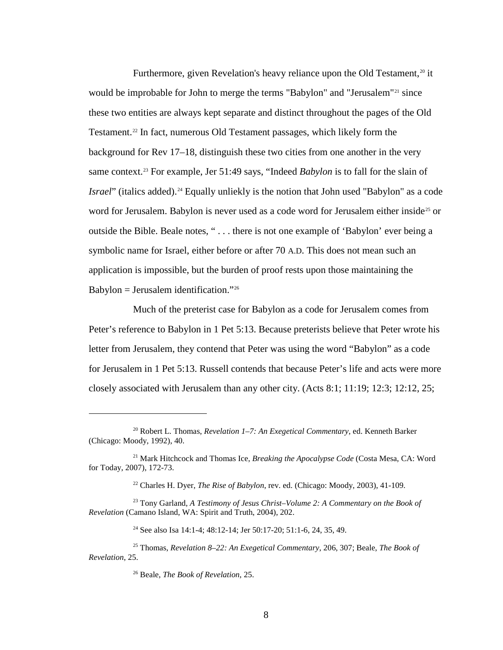Furthermore, given Revelation's heavy reliance upon the Old Testament, $20$  it would be improbable for John to merge the terms "Babylon" and "Jerusalem"<sup>[21](#page-7-1)</sup> since these two entities are always kept separate and distinct throughout the pages of the Old Testament.<sup>[22](#page-7-2)</sup> In fact, numerous Old Testament passages, which likely form the background for Rev 17–18, distinguish these two cities from one another in the very same context.<sup>[23](#page-7-3)</sup> For example, Jer 51:49 says, "Indeed *Babylon* is to fall for the slain of *Israel*" (italics added).<sup>[24](#page-7-4)</sup> Equally unliekly is the notion that John used "Babylon" as a code word for Jerusalem. Babylon is never used as a code word for Jerusalem either inside<sup>[25](#page-7-5)</sup> or outside the Bible. Beale notes, " . . . there is not one example of 'Babylon' ever being a symbolic name for Israel, either before or after 70 A.D. This does not mean such an application is impossible, but the burden of proof rests upon those maintaining the Babylon = Jerusalem identification."<sup>[26](#page-7-6)</sup>

Much of the preterist case for Babylon as a code for Jerusalem comes from Peter's reference to Babylon in 1 Pet 5:13. Because preterists believe that Peter wrote his letter from Jerusalem, they contend that Peter was using the word "Babylon" as a code for Jerusalem in 1 Pet 5:13. Russell contends that because Peter's life and acts were more closely associated with Jerusalem than any other city. (Acts 8:1; 11:19; 12:3; 12:12, 25;

<span id="page-7-0"></span><sup>20</sup> Robert L. Thomas, *Revelation 1–7: An Exegetical Commentary*, ed. Kenneth Barker (Chicago: Moody, 1992), 40.

<span id="page-7-1"></span><sup>21</sup> Mark Hitchcock and Thomas Ice, *Breaking the Apocalypse Code* (Costa Mesa, CA: Word for Today, 2007), 172-73.

<sup>22</sup> Charles H. Dyer, *The Rise of Babylon*, rev. ed. (Chicago: Moody, 2003), 41-109.

<span id="page-7-3"></span><span id="page-7-2"></span><sup>23</sup> Tony Garland, *A Testimony of Jesus Christ–Volume 2: A Commentary on the Book of Revelation* (Camano Island, WA: Spirit and Truth, 2004), 202.

<sup>&</sup>lt;sup>24</sup> See also Isa 14:1-4; 48:12-14; Jer 50:17-20; 51:1-6, 24, 35, 49.

<span id="page-7-6"></span><span id="page-7-5"></span><span id="page-7-4"></span><sup>25</sup> Thomas, *Revelation 8–22: An Exegetical Commentary*, 206, 307; Beale, *The Book of Revelation*, 25.

<sup>26</sup> Beale, *The Book of Revelation*, 25.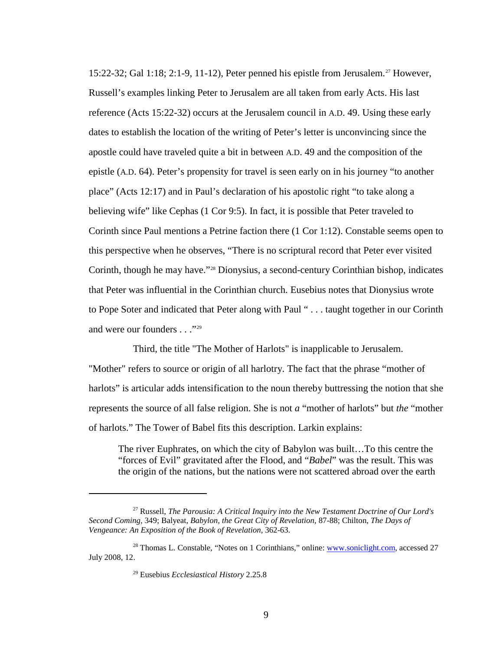15:22-32; Gal 1:18; 2:1-9, 11-12), Peter penned his epistle from Jerusalem.<sup>[27](#page-8-0)</sup> However, Russell's examples linking Peter to Jerusalem are all taken from early Acts. His last reference (Acts 15:22-32) occurs at the Jerusalem council in A.D. 49. Using these early dates to establish the location of the writing of Peter's letter is unconvincing since the apostle could have traveled quite a bit in between A.D. 49 and the composition of the epistle (A.D. 64). Peter's propensity for travel is seen early on in his journey "to another place" (Acts 12:17) and in Paul's declaration of his apostolic right "to take along a believing wife" like Cephas (1 Cor 9:5). In fact, it is possible that Peter traveled to Corinth since Paul mentions a Petrine faction there (1 Cor 1:12). Constable seems open to this perspective when he observes, "There is no scriptural record that Peter ever visited Corinth, though he may have."[28](#page-8-1) Dionysius, a second-century Corinthian bishop, indicates that Peter was influential in the Corinthian church. Eusebius notes that Dionysius wrote to Pope Soter and indicated that Peter along with Paul " . . . taught together in our Corinth and were our founders . . ."[29](#page-8-2)

Third, the title "The Mother of Harlots" is inapplicable to Jerusalem. "Mother" refers to source or origin of all harlotry. The fact that the phrase "mother of harlots" is articular adds intensification to the noun thereby buttressing the notion that she represents the source of all false religion. She is not *a* "mother of harlots" but *the* "mother of harlots." The Tower of Babel fits this description. Larkin explains:

The river Euphrates, on which the city of Babylon was built…To this centre the "forces of Evil" gravitated after the Flood, and "*Babel*" was the result. This was the origin of the nations, but the nations were not scattered abroad over the earth

<span id="page-8-0"></span><sup>27</sup> Russell, *The Parousia: A Critical Inquiry into the New Testament Doctrine of Our Lord's Second Coming*, 349; Balyeat, *Babylon, the Great City of Revelation*, 87-88; Chilton, *The Days of Vengeance: An Exposition of the Book of Revelation*, 362-63.

<span id="page-8-2"></span><span id="page-8-1"></span><sup>&</sup>lt;sup>28</sup> Thomas L. Constable, "Notes on 1 Corinthians," online: [www.soniclight.com,](http://www.soniclight.com/) accessed 27 July 2008, 12.

<sup>29</sup> Eusebius *Ecclesiastical History* 2.25.8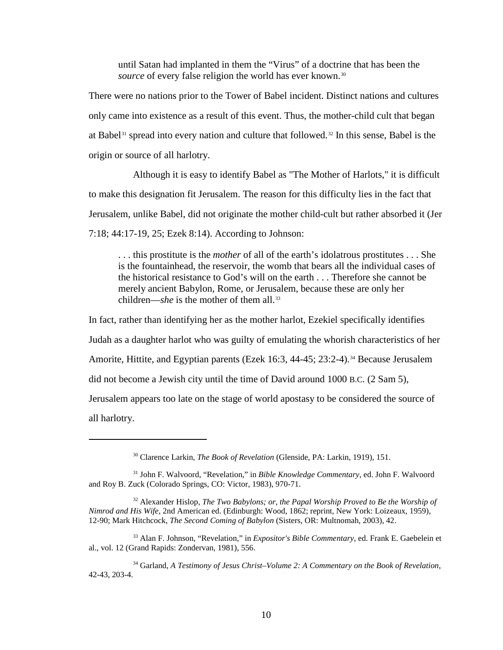until Satan had implanted in them the "Virus" of a doctrine that has been the *source* of every false religion the world has ever known.<sup>[30](#page-9-0)</sup>

There were no nations prior to the Tower of Babel incident. Distinct nations and cultures only came into existence as a result of this event. Thus, the mother-child cult that began at Babel<sup>[31](#page-9-1)</sup> spread into every nation and culture that followed.<sup>[32](#page-9-2)</sup> In this sense, Babel is the origin or source of all harlotry.

Although it is easy to identify Babel as "The Mother of Harlots," it is difficult to make this designation fit Jerusalem. The reason for this difficulty lies in the fact that Jerusalem, unlike Babel, did not originate the mother child-cult but rather absorbed it (Jer 7:18; 44:17-19, 25; Ezek 8:14). According to Johnson:

. . . this prostitute is the *mother* of all of the earth's idolatrous prostitutes . . . She is the fountainhead, the reservoir, the womb that bears all the individual cases of the historical resistance to God's will on the earth . . . Therefore she cannot be merely ancient Babylon, Rome, or Jerusalem, because these are only her children—*she* is the mother of them all.<sup>[33](#page-9-3)</sup>

In fact, rather than identifying her as the mother harlot, Ezekiel specifically identifies Judah as a daughter harlot who was guilty of emulating the whorish characteristics of her Amorite, Hittite, and Egyptian parents (Ezek 16:3, 44-45; 23:2-4).<sup>[34](#page-9-4)</sup> Because Jerusalem did not become a Jewish city until the time of David around 1000 B.C. (2 Sam 5), Jerusalem appears too late on the stage of world apostasy to be considered the source of all harlotry.

<sup>30</sup> Clarence Larkin, *The Book of Revelation* (Glenside, PA: Larkin, 1919), 151.

<span id="page-9-1"></span><span id="page-9-0"></span><sup>31</sup> John F. Walvoord, "Revelation," in *Bible Knowledge Commentary*, ed. John F. Walvoord and Roy B. Zuck (Colorado Springs, CO: Victor, 1983), 970-71.

<span id="page-9-2"></span><sup>32</sup> Alexander Hislop, *The Two Babylons; or, the Papal Worship Proved to Be the Worship of Nimrod and His Wife*, 2nd American ed. (Edinburgh: Wood, 1862; reprint, New York: Loizeaux, 1959), 12-90; Mark Hitchcock, *The Second Coming of Babylon* (Sisters, OR: Multnomah, 2003), 42.

<span id="page-9-3"></span><sup>33</sup> Alan F. Johnson, "Revelation," in *Expositor's Bible Commentary*, ed. Frank E. Gaebelein et al., vol. 12 (Grand Rapids: Zondervan, 1981), 556.

<span id="page-9-4"></span><sup>34</sup> Garland, *A Testimony of Jesus Christ–Volume 2: A Commentary on the Book of Revelation*, 42-43, 203-4.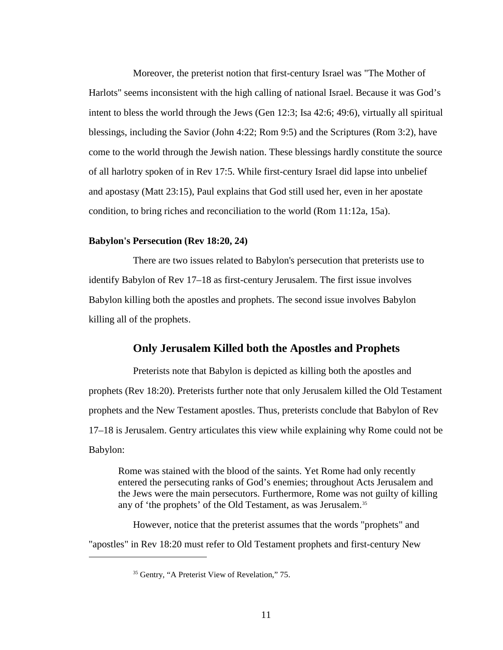Moreover, the preterist notion that first-century Israel was "The Mother of Harlots" seems inconsistent with the high calling of national Israel. Because it was God's intent to bless the world through the Jews (Gen 12:3; Isa 42:6; 49:6), virtually all spiritual blessings, including the Savior (John 4:22; Rom 9:5) and the Scriptures (Rom 3:2), have come to the world through the Jewish nation. These blessings hardly constitute the source of all harlotry spoken of in Rev 17:5. While first-century Israel did lapse into unbelief and apostasy (Matt 23:15), Paul explains that God still used her, even in her apostate condition, to bring riches and reconciliation to the world (Rom 11:12a, 15a).

#### **Babylon's Persecution (Rev 18:20, 24)**

There are two issues related to Babylon's persecution that preterists use to identify Babylon of Rev 17–18 as first-century Jerusalem. The first issue involves Babylon killing both the apostles and prophets. The second issue involves Babylon killing all of the prophets.

# **Only Jerusalem Killed both the Apostles and Prophets**

Preterists note that Babylon is depicted as killing both the apostles and prophets (Rev 18:20). Preterists further note that only Jerusalem killed the Old Testament prophets and the New Testament apostles. Thus, preterists conclude that Babylon of Rev 17–18 is Jerusalem. Gentry articulates this view while explaining why Rome could not be Babylon:

Rome was stained with the blood of the saints. Yet Rome had only recently entered the persecuting ranks of God's enemies; throughout Acts Jerusalem and the Jews were the main persecutors. Furthermore, Rome was not guilty of killing any of 'the prophets' of the Old Testament, as was Jerusalem. [35](#page-10-0)

<span id="page-10-0"></span>However, notice that the preterist assumes that the words "prophets" and "apostles" in Rev 18:20 must refer to Old Testament prophets and first-century New

<sup>&</sup>lt;sup>35</sup> Gentry, "A Preterist View of Revelation," 75.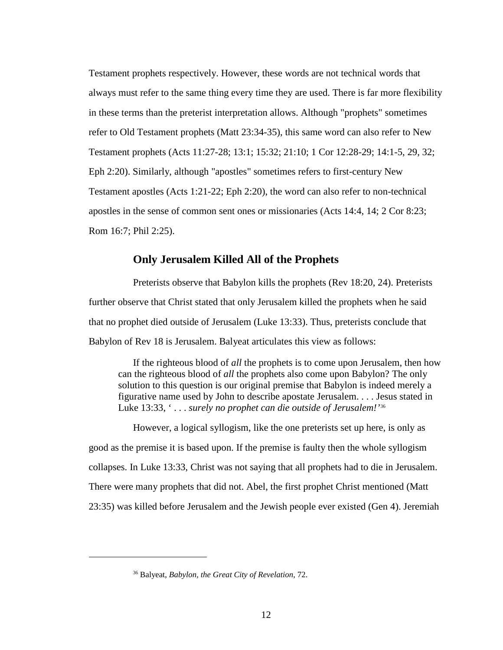Testament prophets respectively. However, these words are not technical words that always must refer to the same thing every time they are used. There is far more flexibility in these terms than the preterist interpretation allows. Although "prophets" sometimes refer to Old Testament prophets (Matt 23:34-35), this same word can also refer to New Testament prophets (Acts 11:27-28; 13:1; 15:32; 21:10; 1 Cor 12:28-29; 14:1-5, 29, 32; Eph 2:20). Similarly, although "apostles" sometimes refers to first-century New Testament apostles (Acts 1:21-22; Eph 2:20), the word can also refer to non-technical apostles in the sense of common sent ones or missionaries (Acts 14:4, 14; 2 Cor 8:23; Rom 16:7; Phil 2:25).

# **Only Jerusalem Killed All of the Prophets**

Preterists observe that Babylon kills the prophets (Rev 18:20, 24). Preterists further observe that Christ stated that only Jerusalem killed the prophets when he said that no prophet died outside of Jerusalem (Luke 13:33). Thus, preterists conclude that Babylon of Rev 18 is Jerusalem. Balyeat articulates this view as follows:

If the righteous blood of *all* the prophets is to come upon Jerusalem, then how can the righteous blood of *all* the prophets also come upon Babylon? The only solution to this question is our original premise that Babylon is indeed merely a figurative name used by John to describe apostate Jerusalem. . . . Jesus stated in Luke 13:33, ' . . . *surely no prophet can die outside of Jerusalem!'*[36](#page-11-0)

However, a logical syllogism, like the one preterists set up here, is only as good as the premise it is based upon. If the premise is faulty then the whole syllogism collapses. In Luke 13:33, Christ was not saying that all prophets had to die in Jerusalem. There were many prophets that did not. Abel, the first prophet Christ mentioned (Matt 23:35) was killed before Jerusalem and the Jewish people ever existed (Gen 4). Jeremiah

<span id="page-11-0"></span><sup>36</sup> Balyeat, *Babylon, the Great City of Revelation*, 72.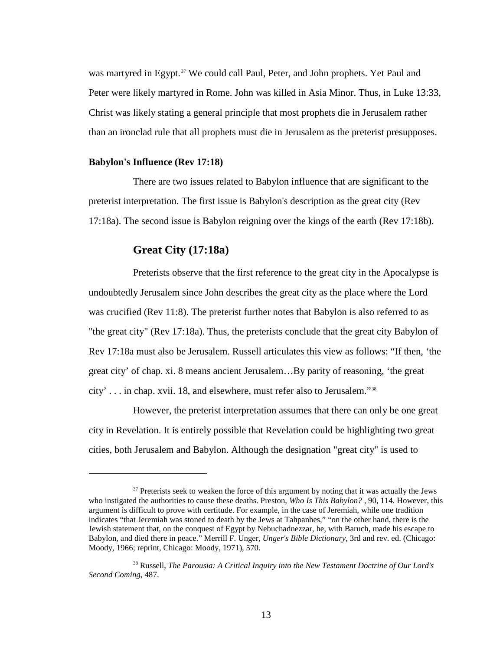was martyred in Egypt.<sup>[37](#page-12-0)</sup> We could call Paul, Peter, and John prophets. Yet Paul and Peter were likely martyred in Rome. John was killed in Asia Minor. Thus, in Luke 13:33, Christ was likely stating a general principle that most prophets die in Jerusalem rather than an ironclad rule that all prophets must die in Jerusalem as the preterist presupposes.

#### **Babylon's Influence (Rev 17:18)**

 $\overline{a}$ 

There are two issues related to Babylon influence that are significant to the preterist interpretation. The first issue is Babylon's description as the great city (Rev 17:18a). The second issue is Babylon reigning over the kings of the earth (Rev 17:18b).

## **Great City (17:18a)**

Preterists observe that the first reference to the great city in the Apocalypse is undoubtedly Jerusalem since John describes the great city as the place where the Lord was crucified (Rev 11:8). The preterist further notes that Babylon is also referred to as "the great city" (Rev 17:18a). Thus, the preterists conclude that the great city Babylon of Rev 17:18a must also be Jerusalem. Russell articulates this view as follows: "If then, 'the great city' of chap. xi. 8 means ancient Jerusalem…By parity of reasoning, 'the great city' . . . in chap. xvii. 18, and elsewhere, must refer also to Jerusalem."[38](#page-12-1)

However, the preterist interpretation assumes that there can only be one great city in Revelation. It is entirely possible that Revelation could be highlighting two great cities, both Jerusalem and Babylon. Although the designation "great city" is used to

<span id="page-12-0"></span> $37$  Preterists seek to weaken the force of this argument by noting that it was actually the Jews who instigated the authorities to cause these deaths. Preston, *Who Is This Babylon?*, 90, 114. However, this argument is difficult to prove with certitude. For example, in the case of Jeremiah, while one tradition indicates "that Jeremiah was stoned to death by the Jews at Tahpanhes," "on the other hand, there is the Jewish statement that, on the conquest of Egypt by Nebuchadnezzar, he, with Baruch, made his escape to Babylon, and died there in peace." Merrill F. Unger, *Unger's Bible Dictionary*, 3rd and rev. ed. (Chicago: Moody, 1966; reprint, Chicago: Moody, 1971), 570.

<span id="page-12-1"></span><sup>38</sup> Russell, *The Parousia: A Critical Inquiry into the New Testament Doctrine of Our Lord's Second Coming*, 487.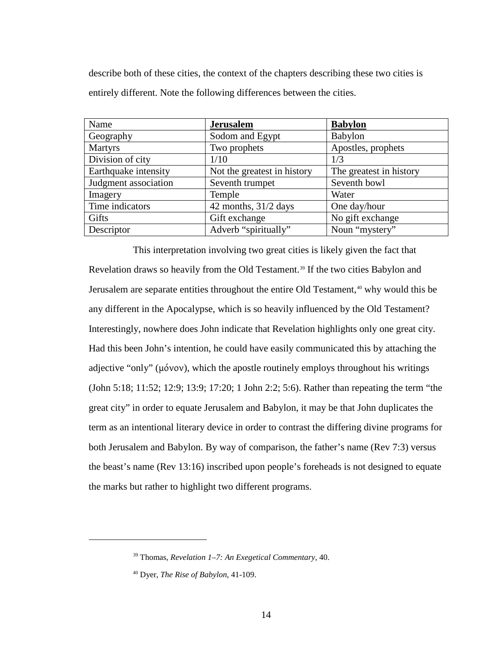describe both of these cities, the context of the chapters describing these two cities is entirely different. Note the following differences between the cities.

| Name                 | <b>Jerusalem</b>            | <b>Babylon</b>          |
|----------------------|-----------------------------|-------------------------|
| Geography            | Sodom and Egypt             | Babylon                 |
| <b>Martyrs</b>       | Two prophets                | Apostles, prophets      |
| Division of city     | 1/10                        | 1/3                     |
| Earthquake intensity | Not the greatest in history | The greatest in history |
| Judgment association | Seventh trumpet             | Seventh bowl            |
| Imagery              | Temple                      | Water                   |
| Time indicators      | 42 months, $31/2$ days      | One day/hour            |
| Gifts                | Gift exchange               | No gift exchange        |
| Descriptor           | Adverb "spiritually"        | Noun "mystery"          |

This interpretation involving two great cities is likely given the fact that Revelation draws so heavily from the Old Testament.<sup>[39](#page-13-0)</sup> If the two cities Babylon and Jerusalem are separate entities throughout the entire Old Testament,<sup>[40](#page-13-1)</sup> why would this be any different in the Apocalypse, which is so heavily influenced by the Old Testament? Interestingly, nowhere does John indicate that Revelation highlights only one great city. Had this been John's intention, he could have easily communicated this by attaching the adjective "only" (μόνον), which the apostle routinely employs throughout his writings (John 5:18; 11:52; 12:9; 13:9; 17:20; 1 John 2:2; 5:6). Rather than repeating the term "the great city" in order to equate Jerusalem and Babylon, it may be that John duplicates the term as an intentional literary device in order to contrast the differing divine programs for both Jerusalem and Babylon. By way of comparison, the father's name (Rev 7:3) versus the beast's name (Rev 13:16) inscribed upon people's foreheads is not designed to equate the marks but rather to highlight two different programs.

<span id="page-13-0"></span><sup>39</sup> Thomas, *Revelation 1–7: An Exegetical Commentary*, 40.

<span id="page-13-1"></span><sup>40</sup> Dyer, *The Rise of Babylon*, 41-109.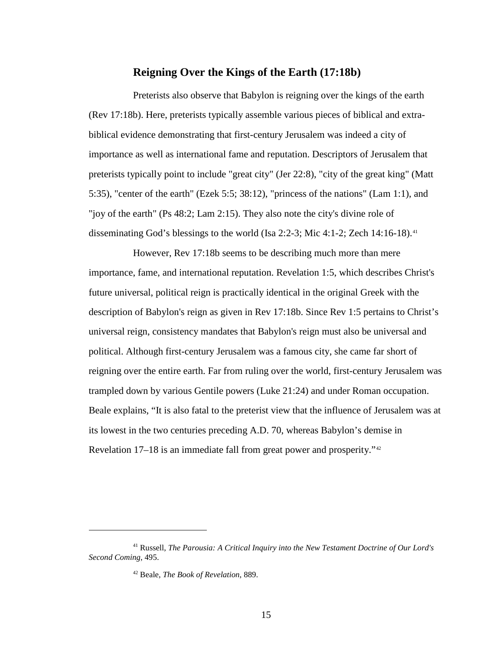# **Reigning Over the Kings of the Earth (17:18b)**

Preterists also observe that Babylon is reigning over the kings of the earth (Rev 17:18b). Here, preterists typically assemble various pieces of biblical and extrabiblical evidence demonstrating that first-century Jerusalem was indeed a city of importance as well as international fame and reputation. Descriptors of Jerusalem that preterists typically point to include "great city" (Jer 22:8), "city of the great king" (Matt 5:35), "center of the earth" (Ezek 5:5; 38:12), "princess of the nations" (Lam 1:1), and "joy of the earth" (Ps 48:2; Lam 2:15). They also note the city's divine role of disseminating God's blessings to the world (Isa 2:2-3; Mic 4:1-2; Zech 14:16-18). [41](#page-14-0)

However, Rev 17:18b seems to be describing much more than mere importance, fame, and international reputation. Revelation 1:5, which describes Christ's future universal, political reign is practically identical in the original Greek with the description of Babylon's reign as given in Rev 17:18b. Since Rev 1:5 pertains to Christ's universal reign, consistency mandates that Babylon's reign must also be universal and political. Although first-century Jerusalem was a famous city, she came far short of reigning over the entire earth. Far from ruling over the world, first-century Jerusalem was trampled down by various Gentile powers (Luke 21:24) and under Roman occupation. Beale explains, "It is also fatal to the preterist view that the influence of Jerusalem was at its lowest in the two centuries preceding A.D. 70, whereas Babylon's demise in Revelation 17–18 is an immediate fall from great power and prosperity."<sup>[42](#page-14-1)</sup>

<span id="page-14-1"></span><span id="page-14-0"></span><sup>41</sup> Russell, *The Parousia: A Critical Inquiry into the New Testament Doctrine of Our Lord's Second Coming*, 495.

<sup>42</sup> Beale, *The Book of Revelation*, 889.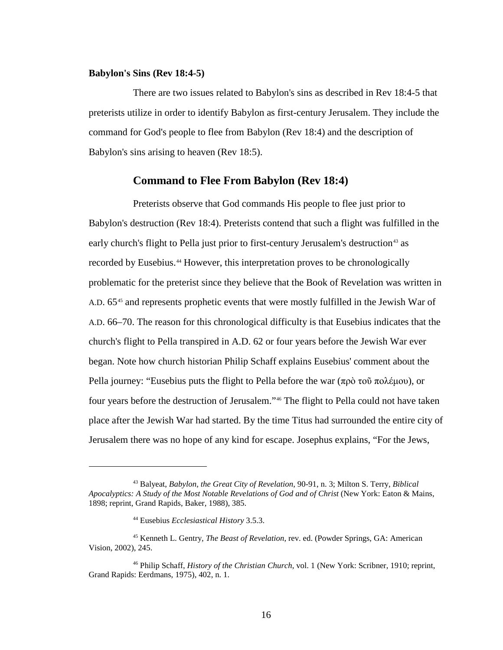#### **Babylon's Sins (Rev 18:4-5)**

There are two issues related to Babylon's sins as described in Rev 18:4-5 that preterists utilize in order to identify Babylon as first-century Jerusalem. They include the command for God's people to flee from Babylon (Rev 18:4) and the description of Babylon's sins arising to heaven (Rev 18:5).

### **Command to Flee From Babylon (Rev 18:4)**

Preterists observe that God commands His people to flee just prior to Babylon's destruction (Rev 18:4). Preterists contend that such a flight was fulfilled in the early church's flight to Pella just prior to first-century Jerusalem's destruction<sup>[43](#page-15-0)</sup> as recorded by Eusebius.[44](#page-15-1) However, this interpretation proves to be chronologically problematic for the preterist since they believe that the Book of Revelation was written in A.D. 65<sup>[45](#page-15-2)</sup> and represents prophetic events that were mostly fulfilled in the Jewish War of A.D. 66–70. The reason for this chronological difficulty is that Eusebius indicates that the church's flight to Pella transpired in A.D. 62 or four years before the Jewish War ever began. Note how church historian Philip Schaff explains Eusebius' comment about the Pella journey: "Eusebius puts the flight to Pella before the war (πρὸ τοῦ πολέμου), or four years before the destruction of Jerusalem."[46](#page-15-3) The flight to Pella could not have taken place after the Jewish War had started. By the time Titus had surrounded the entire city of Jerusalem there was no hope of any kind for escape. Josephus explains, "For the Jews,

<span id="page-15-0"></span><sup>43</sup> Balyeat, *Babylon, the Great City of Revelation*, 90-91, n. 3; Milton S. Terry, *Biblical Apocalyptics: A Study of the Most Notable Revelations of God and of Christ* (New York: Eaton & Mains, 1898; reprint, Grand Rapids, Baker, 1988), 385.

<sup>44</sup> Eusebius *Ecclesiastical History* 3.5.3.

<span id="page-15-2"></span><span id="page-15-1"></span><sup>45</sup> Kenneth L. Gentry, *The Beast of Revelation*, rev. ed. (Powder Springs, GA: American Vision, 2002), 245.

<span id="page-15-3"></span><sup>46</sup> Philip Schaff, *History of the Christian Church*, vol. 1 (New York: Scribner, 1910; reprint, Grand Rapids: Eerdmans, 1975), 402, n. 1.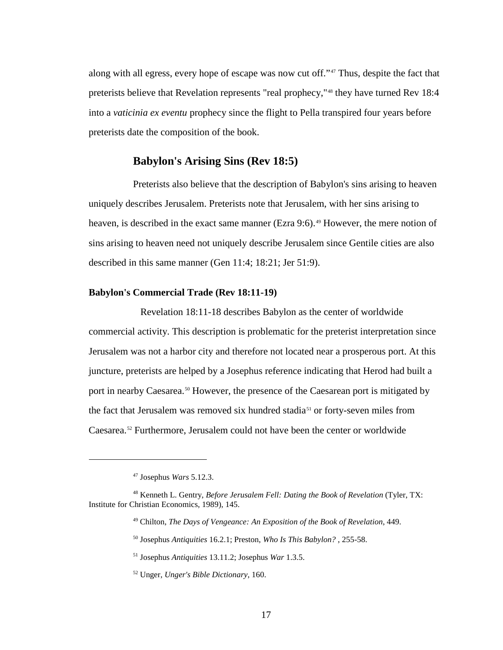along with all egress, every hope of escape was now cut off."[47](#page-16-0) Thus, despite the fact that preterists believe that Revelation represents "real prophecy,"<sup>[48](#page-16-1)</sup> they have turned Rev 18:4 into a *vaticinia ex eventu* prophecy since the flight to Pella transpired four years before preterists date the composition of the book.

# **Babylon's Arising Sins (Rev 18:5)**

Preterists also believe that the description of Babylon's sins arising to heaven uniquely describes Jerusalem. Preterists note that Jerusalem, with her sins arising to heaven, is described in the exact same manner (Ezra 9:6).<sup>[49](#page-16-2)</sup> However, the mere notion of sins arising to heaven need not uniquely describe Jerusalem since Gentile cities are also described in this same manner (Gen 11:4; 18:21; Jer 51:9).

### **Babylon's Commercial Trade (Rev 18:11-19)**

 Revelation 18:11-18 describes Babylon as the center of worldwide commercial activity. This description is problematic for the preterist interpretation since Jerusalem was not a harbor city and therefore not located near a prosperous port. At this juncture, preterists are helped by a Josephus reference indicating that Herod had built a port in nearby Caesarea.<sup>[50](#page-16-3)</sup> However, the presence of the Caesarean port is mitigated by the fact that Jerusalem was removed six hundred stadia<sup>[51](#page-16-4)</sup> or forty-seven miles from Caesarea.[52](#page-16-5) Furthermore, Jerusalem could not have been the center or worldwide

 $\overline{a}$ 

<sup>50</sup> Josephus *Antiquities* 16.2.1; Preston, *Who Is This Babylon?* , 255-58.

<sup>47</sup> Josephus *Wars* 5.12.3.

<span id="page-16-5"></span><span id="page-16-4"></span><span id="page-16-3"></span><span id="page-16-2"></span><span id="page-16-1"></span><span id="page-16-0"></span><sup>48</sup> Kenneth L. Gentry, *Before Jerusalem Fell: Dating the Book of Revelation* (Tyler, TX: Institute for Christian Economics, 1989), 145.

<sup>49</sup> Chilton, *The Days of Vengeance: An Exposition of the Book of Revelation*, 449.

<sup>51</sup> Josephus *Antiquities* 13.11.2; Josephus *War* 1.3.5.

<sup>52</sup> Unger, *Unger's Bible Dictionary*, 160.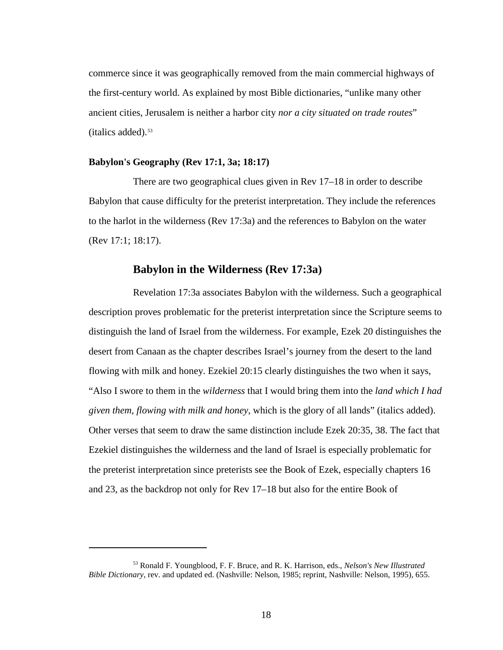commerce since it was geographically removed from the main commercial highways of the first-century world. As explained by most Bible dictionaries, "unlike many other ancient cities, Jerusalem is neither a harbor city *nor a city situated on trade routes*"  $(italics added).$ <sup>[53](#page-17-0)</sup>

### **Babylon's Geography (Rev 17:1, 3a; 18:17)**

 $\overline{a}$ 

There are two geographical clues given in Rev 17–18 in order to describe Babylon that cause difficulty for the preterist interpretation. They include the references to the harlot in the wilderness (Rev 17:3a) and the references to Babylon on the water (Rev 17:1; 18:17).

# **Babylon in the Wilderness (Rev 17:3a)**

Revelation 17:3a associates Babylon with the wilderness. Such a geographical description proves problematic for the preterist interpretation since the Scripture seems to distinguish the land of Israel from the wilderness. For example, Ezek 20 distinguishes the desert from Canaan as the chapter describes Israel's journey from the desert to the land flowing with milk and honey. Ezekiel 20:15 clearly distinguishes the two when it says, "Also I swore to them in the *wilderness* that I would bring them into the *land which I had given them, flowing with milk and honey*, which is the glory of all lands" (italics added). Other verses that seem to draw the same distinction include Ezek 20:35, 38. The fact that Ezekiel distinguishes the wilderness and the land of Israel is especially problematic for the preterist interpretation since preterists see the Book of Ezek, especially chapters 16 and 23, as the backdrop not only for Rev 17–18 but also for the entire Book of

<span id="page-17-0"></span><sup>53</sup> Ronald F. Youngblood, F. F. Bruce, and R. K. Harrison, eds., *Nelson's New Illustrated Bible Dictionary*, rev. and updated ed. (Nashville: Nelson, 1985; reprint, Nashville: Nelson, 1995), 655.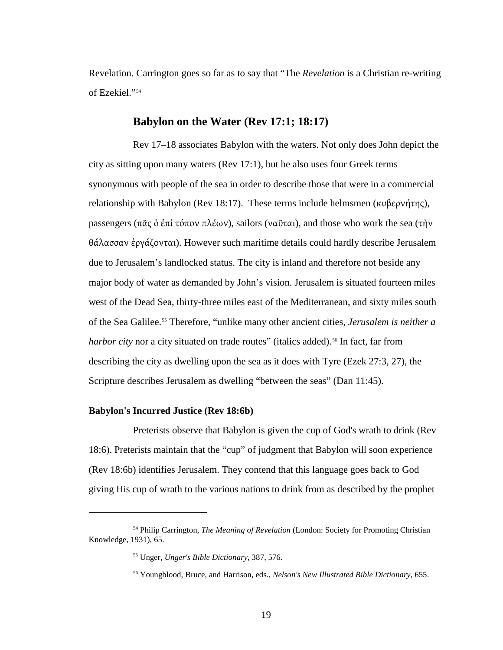Revelation. Carrington goes so far as to say that "The *Revelation* is a Christian re-writing of Ezekiel."[54](#page-18-0)

# **Babylon on the Water (Rev 17:1; 18:17)**

Rev 17–18 associates Babylon with the waters. Not only does John depict the city as sitting upon many waters (Rev 17:1), but he also uses four Greek terms synonymous with people of the sea in order to describe those that were in a commercial relationship with Babylon (Rev 18:17). These terms include helmsmen (κυβερνήτης), passengers (πᾶς ὁ ἐπὶ τόπον πλέων), sailors (ναῦται), and those who work the sea (τὴν θάλασσαν ἐργάζονται). However such maritime details could hardly describe Jerusalem due to Jerusalem's landlocked status. The city is inland and therefore not beside any major body of water as demanded by John's vision. Jerusalem is situated fourteen miles west of the Dead Sea, thirty-three miles east of the Mediterranean, and sixty miles south of the Sea Galilee.[55](#page-18-1) Therefore, "unlike many other ancient cities, *Jerusalem is neither a*  harbor city nor a city situated on trade routes" (italics added).<sup>[56](#page-18-2)</sup> In fact, far from describing the city as dwelling upon the sea as it does with Tyre (Ezek 27:3, 27), the Scripture describes Jerusalem as dwelling "between the seas" (Dan 11:45).

### **Babylon's Incurred Justice (Rev 18:6b)**

 $\overline{a}$ 

Preterists observe that Babylon is given the cup of God's wrath to drink (Rev 18:6). Preterists maintain that the "cup" of judgment that Babylon will soon experience (Rev 18:6b) identifies Jerusalem. They contend that this language goes back to God giving His cup of wrath to the various nations to drink from as described by the prophet

<span id="page-18-2"></span><span id="page-18-1"></span><span id="page-18-0"></span><sup>54</sup> Philip Carrington, *The Meaning of Revelation* (London: Society for Promoting Christian Knowledge, 1931), 65.

<sup>55</sup> Unger, *Unger's Bible Dictionary*, 387, 576.

<sup>56</sup> Youngblood, Bruce, and Harrison, eds., *Nelson's New Illustrated Bible Dictionary*, 655.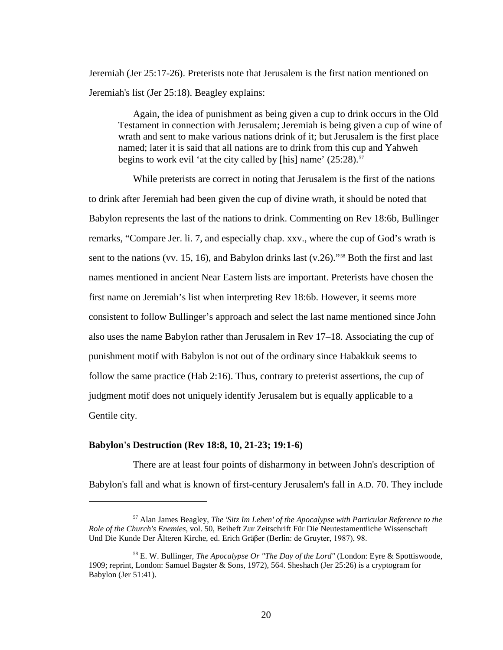Jeremiah (Jer 25:17-26). Preterists note that Jerusalem is the first nation mentioned on Jeremiah's list (Jer 25:18). Beagley explains:

Again, the idea of punishment as being given a cup to drink occurs in the Old Testament in connection with Jerusalem; Jeremiah is being given a cup of wine of wrath and sent to make various nations drink of it; but Jerusalem is the first place named; later it is said that all nations are to drink from this cup and Yahweh begins to work evil 'at the city called by [his] name'  $(25:28)$ .<sup>[57](#page-19-0)</sup>

While preterists are correct in noting that Jerusalem is the first of the nations to drink after Jeremiah had been given the cup of divine wrath, it should be noted that Babylon represents the last of the nations to drink. Commenting on Rev 18:6b, Bullinger remarks, "Compare Jer. li. 7, and especially chap. xxv., where the cup of God's wrath is sent to the nations (vv. 15, 16), and Babylon drinks last (v.26)."<sup>[58](#page-19-1)</sup> Both the first and last names mentioned in ancient Near Eastern lists are important. Preterists have chosen the first name on Jeremiah's list when interpreting Rev 18:6b. However, it seems more consistent to follow Bullinger's approach and select the last name mentioned since John also uses the name Babylon rather than Jerusalem in Rev 17–18. Associating the cup of punishment motif with Babylon is not out of the ordinary since Habakkuk seems to follow the same practice (Hab 2:16). Thus, contrary to preterist assertions, the cup of judgment motif does not uniquely identify Jerusalem but is equally applicable to a Gentile city.

### **Babylon's Destruction (Rev 18:8, 10, 21-23; 19:1-6)**

 $\overline{a}$ 

There are at least four points of disharmony in between John's description of Babylon's fall and what is known of first-century Jerusalem's fall in A.D. 70. They include

<span id="page-19-0"></span><sup>57</sup> Alan James Beagley, *The 'Sitz Im Leben' of the Apocalypse with Particular Reference to the Role of the Church's Enemies*, vol. 50, Beiheft Zur Zeitschrift Für Die Neutestamentliche Wissenschaft Und Die Kunde Der Älteren Kirche, ed. Erich Gräβer (Berlin: de Gruyter, 1987), 98.

<span id="page-19-1"></span><sup>58</sup> E. W. Bullinger, *The Apocalypse Or "The Day of the Lord"* (London: Eyre & Spottiswoode, 1909; reprint, London: Samuel Bagster & Sons, 1972), 564. Sheshach (Jer 25:26) is a cryptogram for Babylon (Jer 51:41).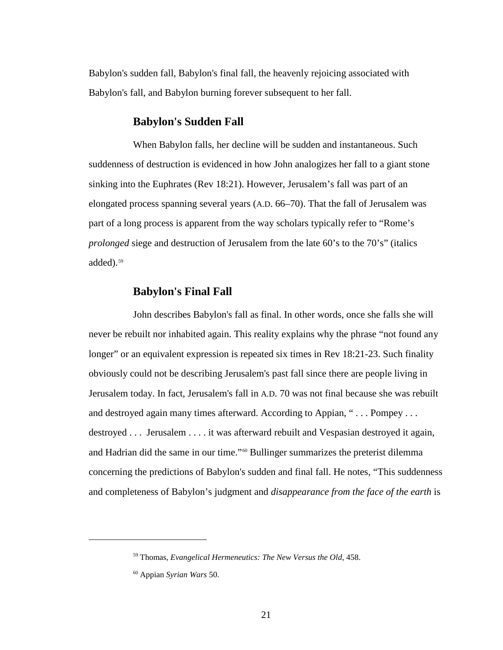Babylon's sudden fall, Babylon's final fall, the heavenly rejoicing associated with Babylon's fall, and Babylon burning forever subsequent to her fall.

# **Babylon's Sudden Fall**

When Babylon falls, her decline will be sudden and instantaneous. Such suddenness of destruction is evidenced in how John analogizes her fall to a giant stone sinking into the Euphrates (Rev 18:21). However, Jerusalem's fall was part of an elongated process spanning several years (A.D. 66–70). That the fall of Jerusalem was part of a long process is apparent from the way scholars typically refer to "Rome's *prolonged* siege and destruction of Jerusalem from the late 60's to the 70's" (italics added).<sup>[59](#page-20-0)</sup>

# **Babylon's Final Fall**

John describes Babylon's fall as final. In other words, once she falls she will never be rebuilt nor inhabited again. This reality explains why the phrase "not found any longer" or an equivalent expression is repeated six times in Rev 18:21-23. Such finality obviously could not be describing Jerusalem's past fall since there are people living in Jerusalem today. In fact, Jerusalem's fall in A.D. 70 was not final because she was rebuilt and destroyed again many times afterward. According to Appian, "... Pompey... destroyed . . . Jerusalem . . . . it was afterward rebuilt and Vespasian destroyed it again, and Hadrian did the same in our time."[60](#page-20-1) Bullinger summarizes the preterist dilemma concerning the predictions of Babylon's sudden and final fall. He notes, "This suddenness and completeness of Babylon's judgment and *disappearance from the face of the earth* is

<span id="page-20-0"></span><sup>59</sup> Thomas, *Evangelical Hermeneutics: The New Versus the Old*, 458.

<span id="page-20-1"></span><sup>60</sup> Appian *Syrian Wars* 50.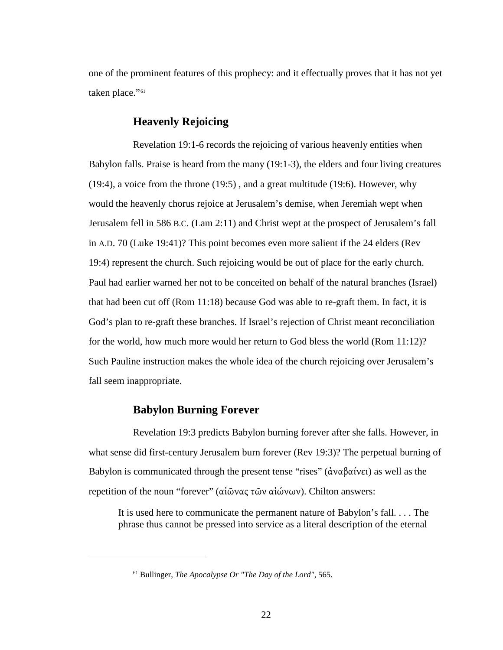one of the prominent features of this prophecy: and it effectually proves that it has not yet taken place."[61](#page-21-0)

# **Heavenly Rejoicing**

Revelation 19:1-6 records the rejoicing of various heavenly entities when Babylon falls. Praise is heard from the many (19:1-3), the elders and four living creatures (19:4), a voice from the throne (19:5) , and a great multitude (19:6). However, why would the heavenly chorus rejoice at Jerusalem's demise, when Jeremiah wept when Jerusalem fell in 586 B.C. (Lam 2:11) and Christ wept at the prospect of Jerusalem's fall in A.D. 70 (Luke 19:41)? This point becomes even more salient if the 24 elders (Rev 19:4) represent the church. Such rejoicing would be out of place for the early church. Paul had earlier warned her not to be conceited on behalf of the natural branches (Israel) that had been cut off (Rom 11:18) because God was able to re-graft them. In fact, it is God's plan to re-graft these branches. If Israel's rejection of Christ meant reconciliation for the world, how much more would her return to God bless the world (Rom 11:12)? Such Pauline instruction makes the whole idea of the church rejoicing over Jerusalem's fall seem inappropriate.

# **Babylon Burning Forever**

<span id="page-21-0"></span> $\overline{a}$ 

Revelation 19:3 predicts Babylon burning forever after she falls. However, in what sense did first-century Jerusalem burn forever (Rev 19:3)? The perpetual burning of Babylon is communicated through the present tense "rises" (ἀναβαίνει) as well as the repetition of the noun "forever" (αἰῶνας τῶν αἰώνων). Chilton answers:

It is used here to communicate the permanent nature of Babylon's fall. . . . The phrase thus cannot be pressed into service as a literal description of the eternal

<sup>61</sup> Bullinger, *The Apocalypse Or "The Day of the Lord"*, 565.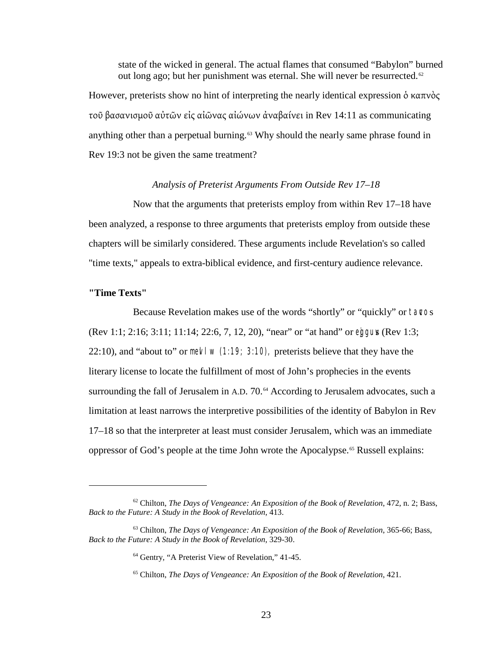state of the wicked in general. The actual flames that consumed "Babylon" burned out long ago; but her punishment was eternal. She will never be resurrected.<sup>[62](#page-22-0)</sup>

However, preterists show no hint of interpreting the nearly identical expression δ καπνὸς τοῦ βασανισμοῦ αὐτῶν εἰς αἰῶνας αἰώνων ἀναβαίνει in Rev 14:11 as communicating anything other than a perpetual burning.<sup>[63](#page-22-1)</sup> Why should the nearly same phrase found in Rev 19:3 not be given the same treatment?

### *Analysis of Preterist Arguments From Outside Rev 17–18*

Now that the arguments that preterists employ from within Rev 17–18 have been analyzed, a response to three arguments that preterists employ from outside these chapters will be similarly considered. These arguments include Revelation's so called "time texts," appeals to extra-biblical evidence, and first-century audience relevance.

### **"Time Texts"**

 $\overline{a}$ 

Because Revelation makes use of the words "shortly" or "quickly" or tavos (Rev 1:1; 2:16; 3:11; 11:14; 22:6, 7, 12, 20), "near" or "at hand" or eggus (Rev 1:3; 22:10), and "about to" or mevel  $\mu$  (1:19; 3:10), preterists believe that they have the literary license to locate the fulfillment of most of John's prophecies in the events surrounding the fall of Jerusalem in A.D. 70.<sup>[64](#page-22-2)</sup> According to Jerusalem advocates, such a limitation at least narrows the interpretive possibilities of the identity of Babylon in Rev 17–18 so that the interpreter at least must consider Jerusalem, which was an immediate oppressor of God's people at the time John wrote the Apocalypse.<sup>[65](#page-22-3)</sup> Russell explains:

<span id="page-22-0"></span><sup>62</sup> Chilton, *The Days of Vengeance: An Exposition of the Book of Revelation*, 472, n. 2; Bass, *Back to the Future: A Study in the Book of Revelation*, 413.

<span id="page-22-3"></span><span id="page-22-2"></span><span id="page-22-1"></span><sup>63</sup> Chilton, *The Days of Vengeance: An Exposition of the Book of Revelation*, 365-66; Bass, *Back to the Future: A Study in the Book of Revelation*, 329-30.

<sup>64</sup> Gentry, "A Preterist View of Revelation," 41-45.

<sup>65</sup> Chilton, *The Days of Vengeance: An Exposition of the Book of Revelation*, 421.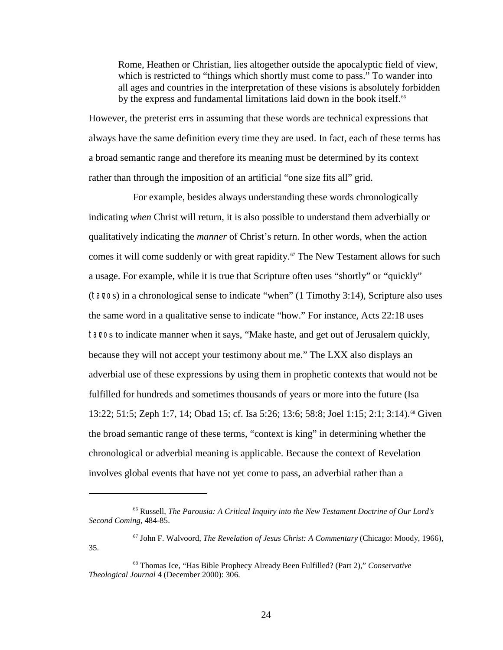Rome, Heathen or Christian, lies altogether outside the apocalyptic field of view, which is restricted to "things which shortly must come to pass." To wander into all ages and countries in the interpretation of these visions is absolutely forbidden by the express and fundamental limitations laid down in the book itself.<sup>[66](#page-23-0)</sup>

However, the preterist errs in assuming that these words are technical expressions that always have the same definition every time they are used. In fact, each of these terms has a broad semantic range and therefore its meaning must be determined by its context rather than through the imposition of an artificial "one size fits all" grid.

For example, besides always understanding these words chronologically indicating *when* Christ will return, it is also possible to understand them adverbially or qualitatively indicating the *manner* of Christ's return. In other words, when the action comes it will come suddenly or with great rapidity. [67](#page-23-1) The New Testament allows for such a usage. For example, while it is true that Scripture often uses "shortly" or "quickly" (tavcos) in a chronological sense to indicate "when" (1 Timothy 3:14), Scripture also uses the same word in a qualitative sense to indicate "how." For instance, Acts 22:18 uses tavos to indicate manner when it says, "Make haste, and get out of Jerusalem quickly, because they will not accept your testimony about me." The LXX also displays an adverbial use of these expressions by using them in prophetic contexts that would not be fulfilled for hundreds and sometimes thousands of years or more into the future (Isa 13:22; 51:5; Zeph 1:7, 14; Obad 15; cf. Isa 5:26; 13:6; 58:8; Joel 1:15; 2:1; 3:14).<sup>[68](#page-23-2)</sup> Given the broad semantic range of these terms, "context is king" in determining whether the chronological or adverbial meaning is applicable. Because the context of Revelation involves global events that have not yet come to pass, an adverbial rather than a

<span id="page-23-0"></span><sup>66</sup> Russell, *The Parousia: A Critical Inquiry into the New Testament Doctrine of Our Lord's Second Coming*, 484-85.

<span id="page-23-1"></span><sup>67</sup> John F. Walvoord, *The Revelation of Jesus Christ: A Commentary* (Chicago: Moody, 1966), 35.

<span id="page-23-2"></span><sup>68</sup> Thomas Ice, "Has Bible Prophecy Already Been Fulfilled? (Part 2)," *Conservative Theological Journal* 4 (December 2000): 306.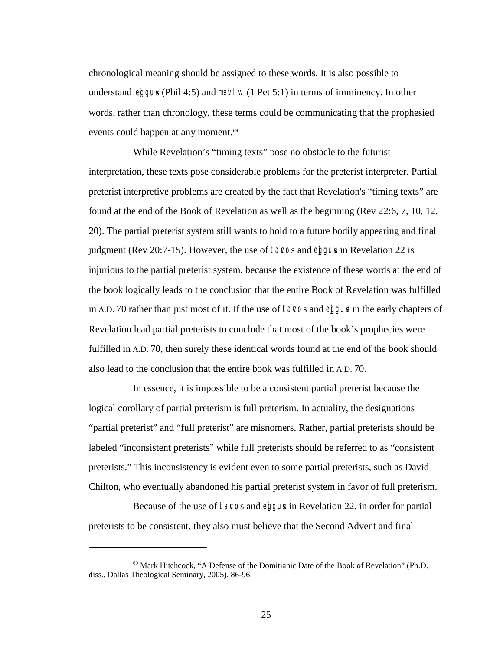chronological meaning should be assigned to these words. It is also possible to understand eiggus (Phil 4:5) and met  $\frac{1}{w}$  (1 Pet 5:1) in terms of imminency. In other words, rather than chronology, these terms could be communicating that the prophesied events could happen at any moment.<sup>[69](#page-24-0)</sup>

While Revelation's "timing texts" pose no obstacle to the futurist interpretation, these texts pose considerable problems for the preterist interpreter. Partial preterist interpretive problems are created by the fact that Revelation's "timing texts" are found at the end of the Book of Revelation as well as the beginning (Rev 22:6, 7, 10, 12, 20). The partial preterist system still wants to hold to a future bodily appearing and final judgment (Rev 20:7-15). However, the use of tavos and eggus in Revelation 22 is injurious to the partial preterist system, because the existence of these words at the end of the book logically leads to the conclusion that the entire Book of Revelation was fulfilled in A.D. 70 rather than just most of it. If the use of tavos and eggus in the early chapters of Revelation lead partial preterists to conclude that most of the book's prophecies were fulfilled in A.D. 70, then surely these identical words found at the end of the book should also lead to the conclusion that the entire book was fulfilled in A.D. 70.

In essence, it is impossible to be a consistent partial preterist because the logical corollary of partial preterism is full preterism. In actuality, the designations "partial preterist" and "full preterist" are misnomers. Rather, partial preterists should be labeled "inconsistent preterists" while full preterists should be referred to as "consistent preterists." This inconsistency is evident even to some partial preterists, such as David Chilton, who eventually abandoned his partial preterist system in favor of full preterism.

Because of the use of tavos and eggus in Revelation 22, in order for partial preterists to be consistent, they also must believe that the Second Advent and final

<span id="page-24-0"></span><sup>69</sup> Mark Hitchcock, "A Defense of the Domitianic Date of the Book of Revelation" (Ph.D. diss., Dallas Theological Seminary, 2005), 86-96.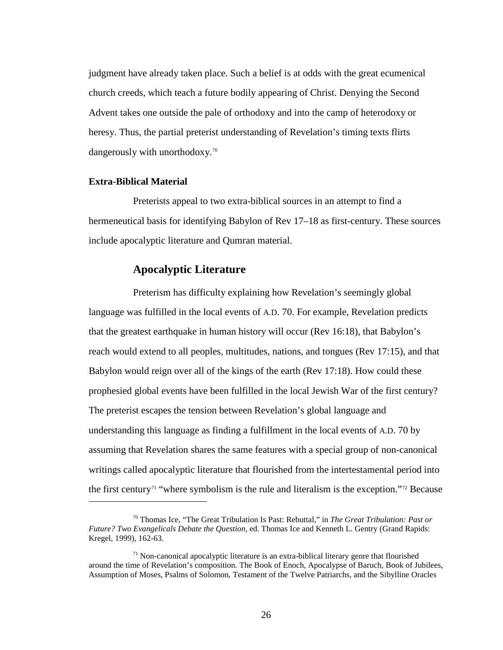judgment have already taken place. Such a belief is at odds with the great ecumenical church creeds, which teach a future bodily appearing of Christ. Denying the Second Advent takes one outside the pale of orthodoxy and into the camp of heterodoxy or heresy. Thus, the partial preterist understanding of Revelation's timing texts flirts dangerously with unorthodoxy.[70](#page-25-0)

### **Extra-Biblical Material**

 $\overline{a}$ 

Preterists appeal to two extra-biblical sources in an attempt to find a hermeneutical basis for identifying Babylon of Rev 17–18 as first-century. These sources include apocalyptic literature and Qumran material.

# **Apocalyptic Literature**

Preterism has difficulty explaining how Revelation's seemingly global language was fulfilled in the local events of A.D. 70. For example, Revelation predicts that the greatest earthquake in human history will occur (Rev 16:18), that Babylon's reach would extend to all peoples, multitudes, nations, and tongues (Rev 17:15), and that Babylon would reign over all of the kings of the earth (Rev 17:18). How could these prophesied global events have been fulfilled in the local Jewish War of the first century? The preterist escapes the tension between Revelation's global language and understanding this language as finding a fulfillment in the local events of A.D. 70 by assuming that Revelation shares the same features with a special group of non-canonical writings called apocalyptic literature that flourished from the intertestamental period into the first century<sup> $71$ </sup> "where symbolism is the rule and literalism is the exception."<sup>[72](#page-25-2)</sup> Because

<span id="page-25-2"></span><span id="page-25-0"></span><sup>70</sup> Thomas Ice, "The Great Tribulation Is Past: Rebuttal," in *The Great Tribulation: Past or Future? Two Evangelicals Debate the Question*, ed. Thomas Ice and Kenneth L. Gentry (Grand Rapids: Kregel, 1999), 162-63.

<span id="page-25-1"></span> $71$  Non-canonical apocalyptic literature is an extra-biblical literary genre that flourished around the time of Revelation's composition. The Book of Enoch, Apocalypse of Baruch, Book of Jubilees, Assumption of Moses, Psalms of Solomon, Testament of the Twelve Patriarchs, and the Sibylline Oracles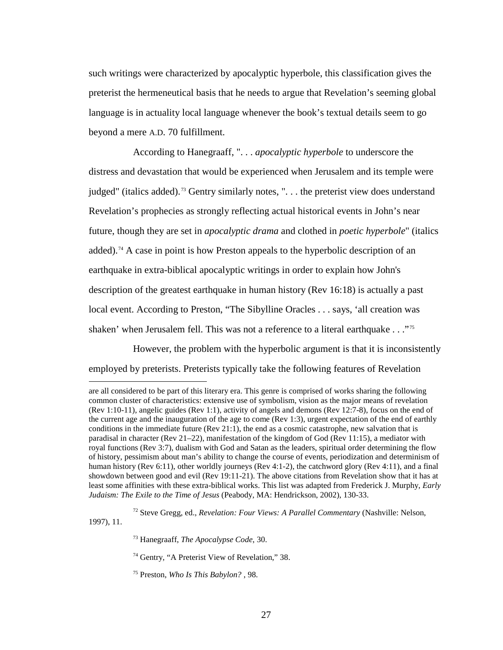such writings were characterized by apocalyptic hyperbole, this classification gives the preterist the hermeneutical basis that he needs to argue that Revelation's seeming global language is in actuality local language whenever the book's textual details seem to go beyond a mere A.D. 70 fulfillment.

According to Hanegraaff, ". . . *apocalyptic hyperbole* to underscore the distress and devastation that would be experienced when Jerusalem and its temple were judged" (italics added).<sup>[73](#page-26-0)</sup> Gentry similarly notes, ". . . the preterist view does understand Revelation's prophecies as strongly reflecting actual historical events in John's near future, though they are set in *apocalyptic drama* and clothed in *poetic hyperbole*" (italics added).<sup>[74](#page-26-1)</sup> A case in point is how Preston appeals to the hyperbolic description of an earthquake in extra-biblical apocalyptic writings in order to explain how John's description of the greatest earthquake in human history (Rev 16:18) is actually a past local event. According to Preston, "The Sibylline Oracles . . . says, 'all creation was shaken' when Jerusalem fell. This was not a reference to a literal earthquake . . ."[75](#page-26-2)

However, the problem with the hyperbolic argument is that it is inconsistently employed by preterists. Preterists typically take the following features of Revelation

are all considered to be part of this literary era. This genre is comprised of works sharing the following common cluster of characteristics: extensive use of symbolism, vision as the major means of revelation (Rev 1:10-11), angelic guides (Rev 1:1), activity of angels and demons (Rev 12:7-8), focus on the end of the current age and the inauguration of the age to come (Rev 1:3), urgent expectation of the end of earthly conditions in the immediate future (Rev 21:1), the end as a cosmic catastrophe, new salvation that is paradisal in character (Rev 21–22), manifestation of the kingdom of God (Rev 11:15), a mediator with royal functions (Rev 3:7), dualism with God and Satan as the leaders, spiritual order determining the flow of history, pessimism about man's ability to change the course of events, periodization and determinism of human history (Rev 6:11), other worldly journeys (Rev 4:1-2), the catchword glory (Rev 4:11), and a final showdown between good and evil (Rev 19:11-21). The above citations from Revelation show that it has at least some affinities with these extra-biblical works. This list was adapted from Frederick J. Murphy, *Early Judaism: The Exile to the Time of Jesus* (Peabody, MA: Hendrickson, 2002), 130-33.

<span id="page-26-2"></span><span id="page-26-1"></span><span id="page-26-0"></span><sup>72</sup> Steve Gregg, ed., *Revelation: Four Views: A Parallel Commentary* (Nashville: Nelson, 1997), 11.

<sup>73</sup> Hanegraaff, *The Apocalypse Code*, 30.

<sup>&</sup>lt;sup>74</sup> Gentry, "A Preterist View of Revelation," 38.

<sup>75</sup> Preston, *Who Is This Babylon?* , 98.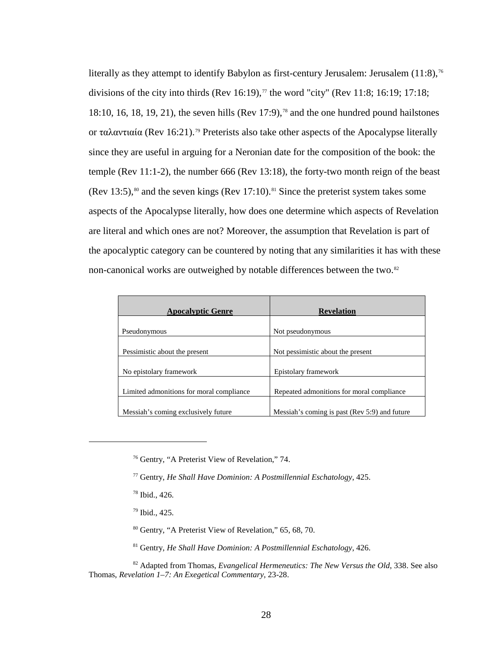literally as they attempt to identify Babylon as first-century Jerusalem: Jerusalem (11:8),<sup>[76](#page-27-0)</sup> divisions of the city into thirds (Rev 16:19),<sup> $\tau$ </sup> the word "city" (Rev 11:8; 16:19; 17:18; 18:10, 16, 18, 19, 21), the seven hills (Rev 17:9), [78](#page-27-2) and the one hundred pound hailstones or ταλαντιαία (Rev 16:21). [79](#page-27-3) Preterists also take other aspects of the Apocalypse literally since they are useful in arguing for a Neronian date for the composition of the book: the temple (Rev 11:1-2), the number 666 (Rev 13:18), the forty-two month reign of the beast (Rev 13:5), [80](#page-27-4) and the seven kings (Rev 17:10). [81](#page-27-5) Since the preterist system takes some aspects of the Apocalypse literally, how does one determine which aspects of Revelation are literal and which ones are not? Moreover, the assumption that Revelation is part of the apocalyptic category can be countered by noting that any similarities it has with these non-canonical works are outweighed by notable differences between the two.<sup>[82](#page-27-6)</sup>

| <b>Apocalyptic Genre</b>                 | <b>Revelation</b>                             |
|------------------------------------------|-----------------------------------------------|
| Pseudonymous                             | Not pseudonymous                              |
|                                          | Not pessimistic about the present             |
| Pessimistic about the present            |                                               |
| No epistolary framework                  | Epistolary framework                          |
| Limited admonitions for moral compliance | Repeated admonitions for moral compliance     |
| Messiah's coming exclusively future      | Messiah's coming is past (Rev 5:9) and future |

<sup>78</sup> Ibid., 426.

<span id="page-27-2"></span><span id="page-27-1"></span><span id="page-27-0"></span> $\overline{a}$ 

- <sup>79</sup> Ibid., 425.
- <sup>80</sup> Gentry, "A Preterist View of Revelation," 65, 68, 70.
- <sup>81</sup> Gentry, *He Shall Have Dominion: A Postmillennial Eschatology*, 426.

<span id="page-27-6"></span><span id="page-27-5"></span><span id="page-27-4"></span><span id="page-27-3"></span><sup>82</sup> Adapted from Thomas, *Evangelical Hermeneutics: The New Versus the Old*, 338. See also Thomas, *Revelation 1–7: An Exegetical Commentary*, 23-28.

<sup>76</sup> Gentry, "A Preterist View of Revelation," 74.

<sup>77</sup> Gentry, *He Shall Have Dominion: A Postmillennial Eschatology*, 425.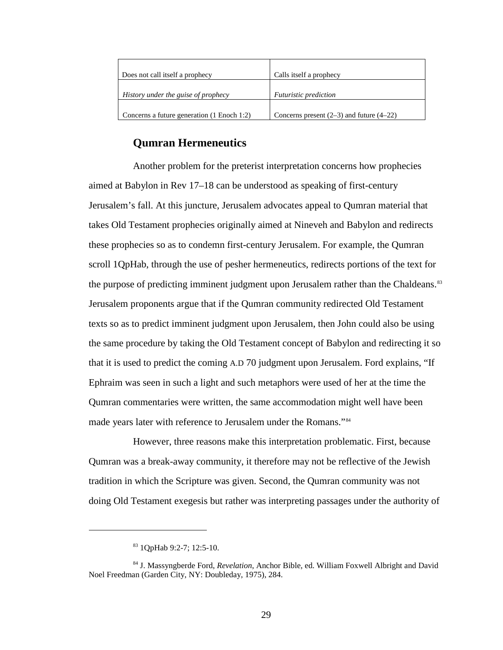| Does not call itself a prophecy            | Calls itself a prophecy                      |
|--------------------------------------------|----------------------------------------------|
| History under the guise of prophecy        | <i>Futuristic prediction</i>                 |
| Concerns a future generation (1 Enoch 1:2) | Concerns present $(2-3)$ and future $(4-22)$ |

# **Qumran Hermeneutics**

Another problem for the preterist interpretation concerns how prophecies aimed at Babylon in Rev 17–18 can be understood as speaking of first-century Jerusalem's fall. At this juncture, Jerusalem advocates appeal to Qumran material that takes Old Testament prophecies originally aimed at Nineveh and Babylon and redirects these prophecies so as to condemn first-century Jerusalem. For example, the Qumran scroll 1QpHab, through the use of pesher hermeneutics, redirects portions of the text for the purpose of predicting imminent judgment upon Jerusalem rather than the Chaldeans.<sup>[83](#page-28-0)</sup> Jerusalem proponents argue that if the Qumran community redirected Old Testament texts so as to predict imminent judgment upon Jerusalem, then John could also be using the same procedure by taking the Old Testament concept of Babylon and redirecting it so that it is used to predict the coming A.D 70 judgment upon Jerusalem. Ford explains, "If Ephraim was seen in such a light and such metaphors were used of her at the time the Qumran commentaries were written, the same accommodation might well have been made years later with reference to Jerusalem under the Romans."[84](#page-28-1)

However, three reasons make this interpretation problematic. First, because Qumran was a break-away community, it therefore may not be reflective of the Jewish tradition in which the Scripture was given. Second, the Qumran community was not doing Old Testament exegesis but rather was interpreting passages under the authority of

<sup>83</sup> 1QpHab 9:2-7; 12:5-10.

<span id="page-28-1"></span><span id="page-28-0"></span><sup>84</sup> J. Massyngberde Ford, *Revelation*, Anchor Bible, ed. William Foxwell Albright and David Noel Freedman (Garden City, NY: Doubleday, 1975), 284.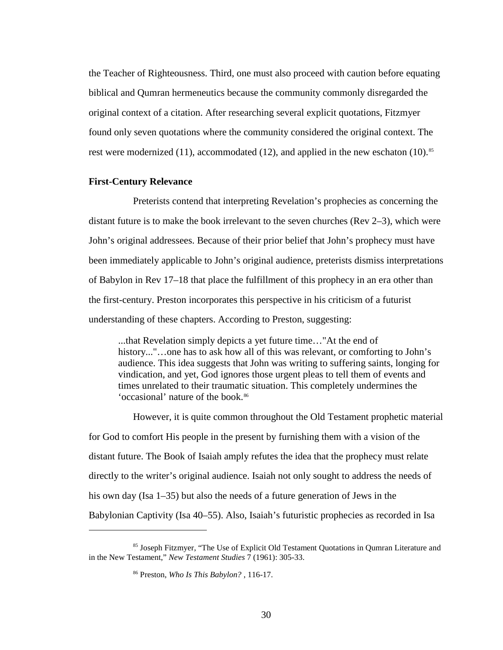the Teacher of Righteousness. Third, one must also proceed with caution before equating biblical and Qumran hermeneutics because the community commonly disregarded the original context of a citation. After researching several explicit quotations, Fitzmyer found only seven quotations where the community considered the original context. The rest were modernized (11), accommodated (12), and applied in the new eschaton (10).<sup>[85](#page-29-0)</sup>

# **First-Century Relevance**

 $\overline{a}$ 

Preterists contend that interpreting Revelation's prophecies as concerning the distant future is to make the book irrelevant to the seven churches (Rev 2–3), which were John's original addressees. Because of their prior belief that John's prophecy must have been immediately applicable to John's original audience, preterists dismiss interpretations of Babylon in Rev 17–18 that place the fulfillment of this prophecy in an era other than the first-century. Preston incorporates this perspective in his criticism of a futurist understanding of these chapters. According to Preston, suggesting:

...that Revelation simply depicts a yet future time…"At the end of history..."...one has to ask how all of this was relevant, or comforting to John's audience. This idea suggests that John was writing to suffering saints, longing for vindication, and yet, God ignores those urgent pleas to tell them of events and times unrelated to their traumatic situation. This completely undermines the 'occasional' nature of the book.[86](#page-29-1)

However, it is quite common throughout the Old Testament prophetic material for God to comfort His people in the present by furnishing them with a vision of the distant future. The Book of Isaiah amply refutes the idea that the prophecy must relate directly to the writer's original audience. Isaiah not only sought to address the needs of his own day (Isa 1–35) but also the needs of a future generation of Jews in the Babylonian Captivity (Isa 40–55). Also, Isaiah's futuristic prophecies as recorded in Isa

<span id="page-29-1"></span><span id="page-29-0"></span><sup>85</sup> Joseph Fitzmyer, "The Use of Explicit Old Testament Quotations in Qumran Literature and in the New Testament," *New Testament Studies* 7 (1961): 305-33.

<sup>86</sup> Preston, *Who Is This Babylon?* , 116-17.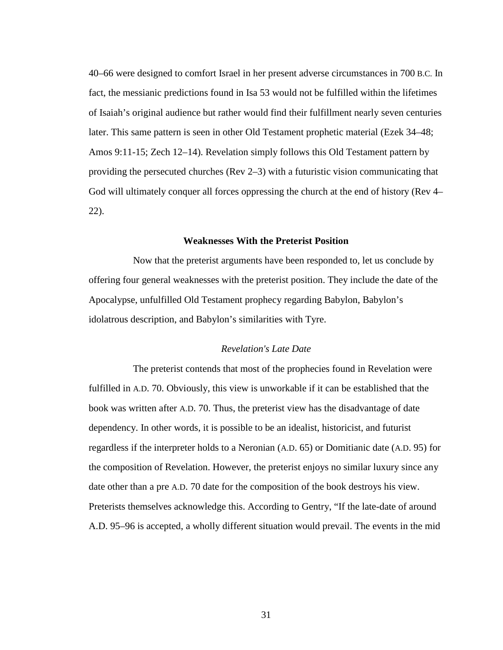40–66 were designed to comfort Israel in her present adverse circumstances in 700 B.C. In fact, the messianic predictions found in Isa 53 would not be fulfilled within the lifetimes of Isaiah's original audience but rather would find their fulfillment nearly seven centuries later. This same pattern is seen in other Old Testament prophetic material (Ezek 34–48; Amos 9:11-15; Zech 12–14). Revelation simply follows this Old Testament pattern by providing the persecuted churches (Rev 2–3) with a futuristic vision communicating that God will ultimately conquer all forces oppressing the church at the end of history (Rev 4– 22).

### **Weaknesses With the Preterist Position**

Now that the preterist arguments have been responded to, let us conclude by offering four general weaknesses with the preterist position. They include the date of the Apocalypse, unfulfilled Old Testament prophecy regarding Babylon, Babylon's idolatrous description, and Babylon's similarities with Tyre.

### *Revelation's Late Date*

The preterist contends that most of the prophecies found in Revelation were fulfilled in A.D. 70. Obviously, this view is unworkable if it can be established that the book was written after A.D. 70. Thus, the preterist view has the disadvantage of date dependency. In other words, it is possible to be an idealist, historicist, and futurist regardless if the interpreter holds to a Neronian (A.D. 65) or Domitianic date (A.D. 95) for the composition of Revelation. However, the preterist enjoys no similar luxury since any date other than a pre A.D. 70 date for the composition of the book destroys his view. Preterists themselves acknowledge this. According to Gentry, "If the late-date of around A.D. 95–96 is accepted, a wholly different situation would prevail. The events in the mid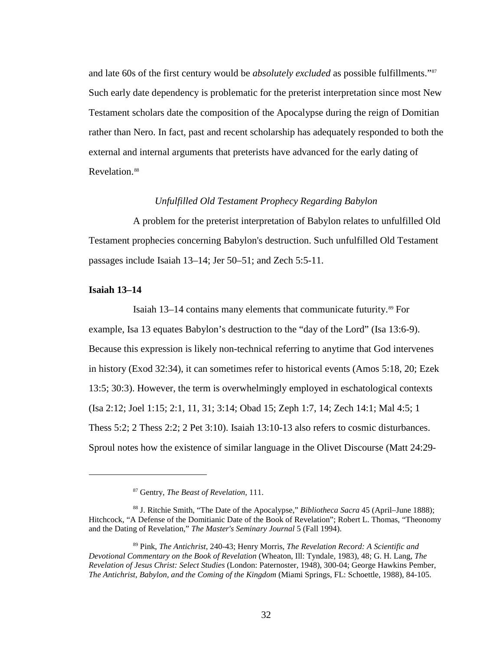and late 60s of the first century would be *absolutely excluded* as possible fulfillments."<sup>[87](#page-31-0)</sup> Such early date dependency is problematic for the preterist interpretation since most New Testament scholars date the composition of the Apocalypse during the reign of Domitian rather than Nero. In fact, past and recent scholarship has adequately responded to both the external and internal arguments that preterists have advanced for the early dating of Revelation.<sup>[88](#page-31-1)</sup>

#### *Unfulfilled Old Testament Prophecy Regarding Babylon*

A problem for the preterist interpretation of Babylon relates to unfulfilled Old Testament prophecies concerning Babylon's destruction. Such unfulfilled Old Testament passages include Isaiah 13–14; Jer 50–51; and Zech 5:5-11.

### **Isaiah 13–14**

 $\overline{a}$ 

Isaiah 13–14 contains many elements that communicate futurity.<sup>[89](#page-31-2)</sup> For example, Isa 13 equates Babylon's destruction to the "day of the Lord" (Isa 13:6-9). Because this expression is likely non-technical referring to anytime that God intervenes in history (Exod 32:34), it can sometimes refer to historical events (Amos 5:18, 20; Ezek 13:5; 30:3). However, the term is overwhelmingly employed in eschatological contexts (Isa 2:12; Joel 1:15; 2:1, 11, 31; 3:14; Obad 15; Zeph 1:7, 14; Zech 14:1; Mal 4:5; 1 Thess 5:2; 2 Thess 2:2; 2 Pet 3:10). Isaiah 13:10-13 also refers to cosmic disturbances. Sproul notes how the existence of similar language in the Olivet Discourse (Matt 24:29-

<sup>87</sup> Gentry, *The Beast of Revelation*, 111.

<span id="page-31-1"></span><span id="page-31-0"></span><sup>88</sup> J. Ritchie Smith, "The Date of the Apocalypse," *Bibliotheca Sacra* 45 (April–June 1888); Hitchcock, "A Defense of the Domitianic Date of the Book of Revelation"; Robert L. Thomas, "Theonomy and the Dating of Revelation," *The Master's Seminary Journal* 5 (Fall 1994).

<span id="page-31-2"></span><sup>89</sup> Pink, *The Antichrist*, 240-43; Henry Morris, *The Revelation Record: A Scientific and Devotional Commentary on the Book of Revelation* (Wheaton, Ill: Tyndale, 1983), 48; G. H. Lang, *The Revelation of Jesus Christ: Select Studies* (London: Paternoster, 1948), 300-04; George Hawkins Pember, *The Antichrist, Babylon, and the Coming of the Kingdom* (Miami Springs, FL: Schoettle, 1988), 84-105.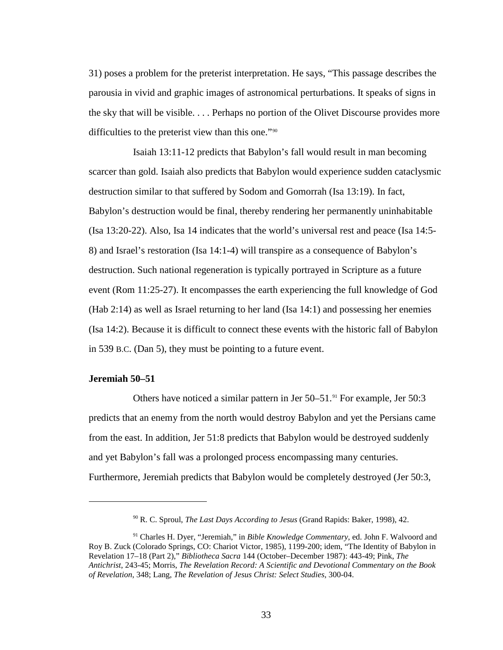31) poses a problem for the preterist interpretation. He says, "This passage describes the parousia in vivid and graphic images of astronomical perturbations. It speaks of signs in the sky that will be visible. . . . Perhaps no portion of the Olivet Discourse provides more difficulties to the preterist view than this one."[90](#page-32-0)

Isaiah 13:11-12 predicts that Babylon's fall would result in man becoming scarcer than gold. Isaiah also predicts that Babylon would experience sudden cataclysmic destruction similar to that suffered by Sodom and Gomorrah (Isa 13:19). In fact, Babylon's destruction would be final, thereby rendering her permanently uninhabitable (Isa 13:20-22). Also, Isa 14 indicates that the world's universal rest and peace (Isa 14:5- 8) and Israel's restoration (Isa 14:1-4) will transpire as a consequence of Babylon's destruction. Such national regeneration is typically portrayed in Scripture as a future event (Rom 11:25-27). It encompasses the earth experiencing the full knowledge of God (Hab 2:14) as well as Israel returning to her land (Isa 14:1) and possessing her enemies (Isa 14:2). Because it is difficult to connect these events with the historic fall of Babylon in 539 B.C. (Dan 5), they must be pointing to a future event.

### **Jeremiah 50–51**

 $\overline{a}$ 

Others have noticed a similar pattern in Jer 50–51.<sup>[91](#page-32-1)</sup> For example, Jer 50:3 predicts that an enemy from the north would destroy Babylon and yet the Persians came from the east. In addition, Jer 51:8 predicts that Babylon would be destroyed suddenly and yet Babylon's fall was a prolonged process encompassing many centuries. Furthermore, Jeremiah predicts that Babylon would be completely destroyed (Jer 50:3,

<sup>90</sup> R. C. Sproul, *The Last Days According to Jesus* (Grand Rapids: Baker, 1998), 42.

<span id="page-32-1"></span><span id="page-32-0"></span><sup>91</sup> Charles H. Dyer, "Jeremiah," in *Bible Knowledge Commentary*, ed. John F. Walvoord and Roy B. Zuck (Colorado Springs, CO: Chariot Victor, 1985), 1199-200; idem, "The Identity of Babylon in Revelation 17–18 (Part 2)," *Bibliotheca Sacra* 144 (October–December 1987): 443-49; Pink, *The Antichrist*, 243-45; Morris, *The Revelation Record: A Scientific and Devotional Commentary on the Book of Revelation*, 348; Lang, *The Revelation of Jesus Christ: Select Studies*, 300-04.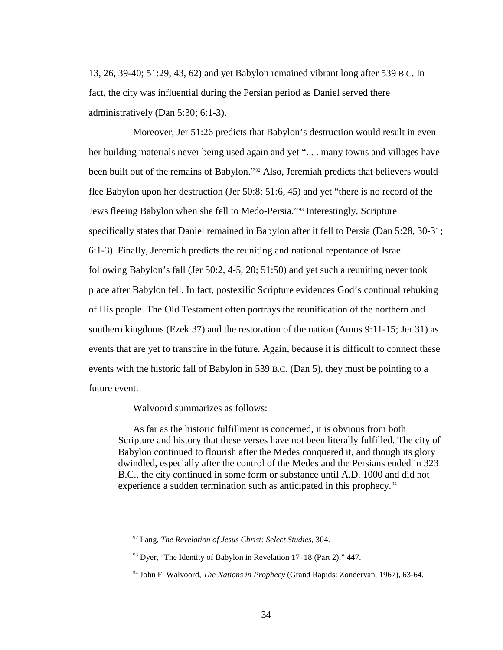13, 26, 39-40; 51:29, 43, 62) and yet Babylon remained vibrant long after 539 B.C. In fact, the city was influential during the Persian period as Daniel served there administratively (Dan 5:30; 6:1-3).

Moreover, Jer 51:26 predicts that Babylon's destruction would result in even her building materials never being used again and yet "... many towns and villages have been built out of the remains of Babylon."[92](#page-33-0) Also, Jeremiah predicts that believers would flee Babylon upon her destruction (Jer 50:8; 51:6, 45) and yet "there is no record of the Jews fleeing Babylon when she fell to Medo-Persia."[93](#page-33-1) Interestingly, Scripture specifically states that Daniel remained in Babylon after it fell to Persia (Dan 5:28, 30-31; 6:1-3). Finally, Jeremiah predicts the reuniting and national repentance of Israel following Babylon's fall (Jer 50:2, 4-5, 20; 51:50) and yet such a reuniting never took place after Babylon fell. In fact, postexilic Scripture evidences God's continual rebuking of His people. The Old Testament often portrays the reunification of the northern and southern kingdoms (Ezek 37) and the restoration of the nation (Amos 9:11-15; Jer 31) as events that are yet to transpire in the future. Again, because it is difficult to connect these events with the historic fall of Babylon in 539 B.C. (Dan 5), they must be pointing to a future event.

Walvoord summarizes as follows:

<span id="page-33-2"></span><span id="page-33-1"></span><span id="page-33-0"></span> $\overline{a}$ 

As far as the historic fulfillment is concerned, it is obvious from both Scripture and history that these verses have not been literally fulfilled. The city of Babylon continued to flourish after the Medes conquered it, and though its glory dwindled, especially after the control of the Medes and the Persians ended in 323 B.C., the city continued in some form or substance until A.D. 1000 and did not experience a sudden termination such as anticipated in this prophecy.<sup>[94](#page-33-2)</sup>

<sup>92</sup> Lang, *The Revelation of Jesus Christ: Select Studies*, 304.

 $93$  Dyer, "The Identity of Babylon in Revelation 17–18 (Part 2)," 447.

<sup>94</sup> John F. Walvoord, *The Nations in Prophecy* (Grand Rapids: Zondervan, 1967), 63-64.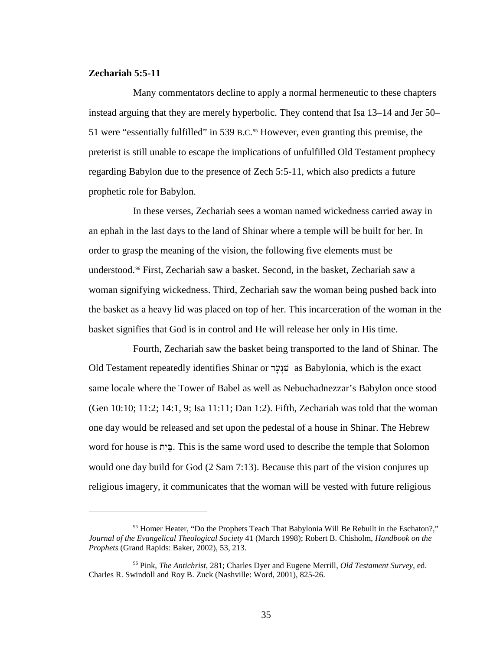# **Zechariah 5:5-11**

 $\overline{a}$ 

Many commentators decline to apply a normal hermeneutic to these chapters instead arguing that they are merely hyperbolic. They contend that Isa 13–14 and Jer 50– 51 were "essentially fulfilled" in 539 B.C. [95](#page-34-0) However, even granting this premise, the preterist is still unable to escape the implications of unfulfilled Old Testament prophecy regarding Babylon due to the presence of Zech 5:5-11, which also predicts a future prophetic role for Babylon.

In these verses, Zechariah sees a woman named wickedness carried away in an ephah in the last days to the land of Shinar where a temple will be built for her. In order to grasp the meaning of the vision, the following five elements must be understood. [96](#page-34-1) First, Zechariah saw a basket. Second, in the basket, Zechariah saw a woman signifying wickedness. Third, Zechariah saw the woman being pushed back into the basket as a heavy lid was placed on top of her. This incarceration of the woman in the basket signifies that God is in control and He will release her only in His time.

Fourth, Zechariah saw the basket being transported to the land of Shinar. The Old Testament repeatedly identifies Shinar or שְׁנָעָר as Babylonia, which is the exact same locale where the Tower of Babel as well as Nebuchadnezzar's Babylon once stood (Gen 10:10; 11:2; 14:1, 9; Isa 11:11; Dan 1:2). Fifth, Zechariah was told that the woman one day would be released and set upon the pedestal of a house in Shinar. The Hebrew word for house is בְּיָת. This is the same word used to describe the temple that Solomon would one day build for God (2 Sam 7:13). Because this part of the vision conjures up religious imagery, it communicates that the woman will be vested with future religious

<span id="page-34-0"></span><sup>&</sup>lt;sup>95</sup> Homer Heater, "Do the Prophets Teach That Babylonia Will Be Rebuilt in the Eschaton?," *Journal of the Evangelical Theological Society* 41 (March 1998); Robert B. Chisholm, *Handbook on the Prophets* (Grand Rapids: Baker, 2002), 53, 213.

<span id="page-34-1"></span><sup>96</sup> Pink, *The Antichrist*, 281; Charles Dyer and Eugene Merrill, *Old Testament Survey*, ed. Charles R. Swindoll and Roy B. Zuck (Nashville: Word, 2001), 825-26.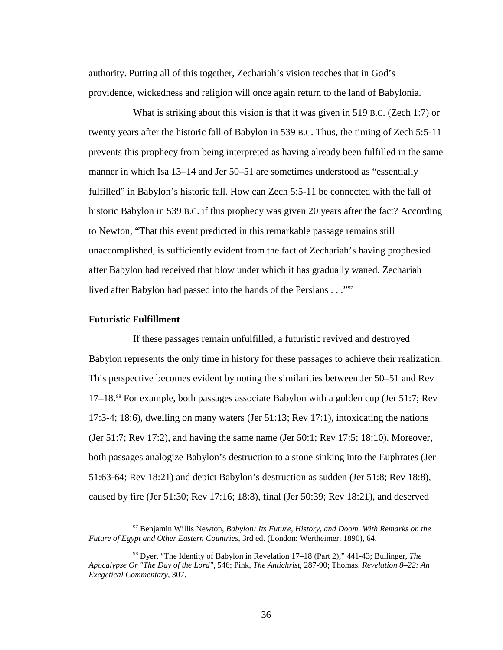authority. Putting all of this together, Zechariah's vision teaches that in God's providence, wickedness and religion will once again return to the land of Babylonia.

What is striking about this vision is that it was given in 519 B.C. (Zech 1:7) or twenty years after the historic fall of Babylon in 539 B.C. Thus, the timing of Zech 5:5-11 prevents this prophecy from being interpreted as having already been fulfilled in the same manner in which Isa 13–14 and Jer 50–51 are sometimes understood as "essentially fulfilled" in Babylon's historic fall. How can Zech 5:5-11 be connected with the fall of historic Babylon in 539 B.C. if this prophecy was given 20 years after the fact? According to Newton, "That this event predicted in this remarkable passage remains still unaccomplished, is sufficiently evident from the fact of Zechariah's having prophesied after Babylon had received that blow under which it has gradually waned. Zechariah lived after Babylon had passed into the hands of the Persians . . ."[97](#page-35-0)

#### **Futuristic Fulfillment**

 $\overline{a}$ 

If these passages remain unfulfilled, a futuristic revived and destroyed Babylon represents the only time in history for these passages to achieve their realization. This perspective becomes evident by noting the similarities between Jer 50–51 and Rev 17–18.<sup>[98](#page-35-1)</sup> For example, both passages associate Babylon with a golden cup (Jer 51:7; Rev 17:3-4; 18:6), dwelling on many waters (Jer 51:13; Rev 17:1), intoxicating the nations (Jer 51:7; Rev 17:2), and having the same name (Jer 50:1; Rev 17:5; 18:10). Moreover, both passages analogize Babylon's destruction to a stone sinking into the Euphrates (Jer 51:63-64; Rev 18:21) and depict Babylon's destruction as sudden (Jer 51:8; Rev 18:8), caused by fire (Jer 51:30; Rev 17:16; 18:8), final (Jer 50:39; Rev 18:21), and deserved

<span id="page-35-0"></span><sup>97</sup> Benjamin Willis Newton, *Babylon: Its Future, History, and Doom. With Remarks on the Future of Egypt and Other Eastern Countries*, 3rd ed. (London: Wertheimer, 1890), 64.

<span id="page-35-1"></span><sup>98</sup> Dyer, "The Identity of Babylon in Revelation 17–18 (Part 2)," 441-43; Bullinger, *The Apocalypse Or "The Day of the Lord"*, 546; Pink, *The Antichrist*, 287-90; Thomas, *Revelation 8–22: An Exegetical Commentary*, 307.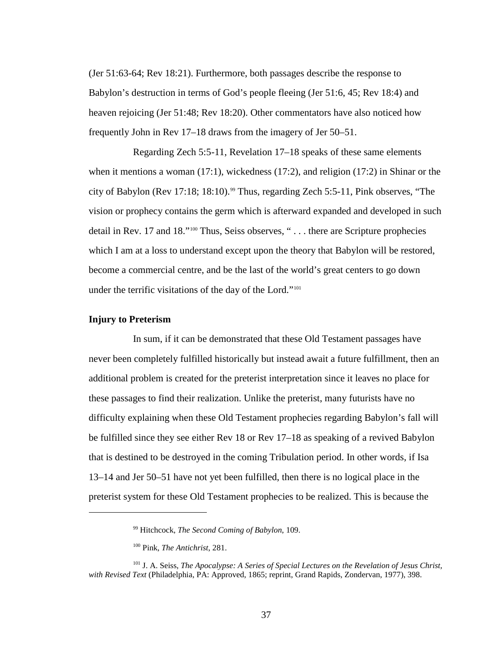(Jer 51:63-64; Rev 18:21). Furthermore, both passages describe the response to Babylon's destruction in terms of God's people fleeing (Jer 51:6, 45; Rev 18:4) and heaven rejoicing (Jer 51:48; Rev 18:20). Other commentators have also noticed how frequently John in Rev 17–18 draws from the imagery of Jer 50–51.

Regarding Zech 5:5-11, Revelation 17–18 speaks of these same elements when it mentions a woman (17:1), wickedness (17:2), and religion (17:2) in Shinar or the city of Babylon (Rev 17:18; 18:10).<sup>[99](#page-36-0)</sup> Thus, regarding Zech 5:5-11, Pink observes, "The vision or prophecy contains the germ which is afterward expanded and developed in such detail in Rev. 17 and 18."[100](#page-36-1) Thus, Seiss observes, " . . . there are Scripture prophecies which I am at a loss to understand except upon the theory that Babylon will be restored, become a commercial centre, and be the last of the world's great centers to go down under the terrific visitations of the day of the Lord."[101](#page-36-2)

### **Injury to Preterism**

<span id="page-36-0"></span> $\overline{a}$ 

In sum, if it can be demonstrated that these Old Testament passages have never been completely fulfilled historically but instead await a future fulfillment, then an additional problem is created for the preterist interpretation since it leaves no place for these passages to find their realization. Unlike the preterist, many futurists have no difficulty explaining when these Old Testament prophecies regarding Babylon's fall will be fulfilled since they see either Rev 18 or Rev 17–18 as speaking of a revived Babylon that is destined to be destroyed in the coming Tribulation period. In other words, if Isa 13–14 and Jer 50–51 have not yet been fulfilled, then there is no logical place in the preterist system for these Old Testament prophecies to be realized. This is because the

<sup>99</sup> Hitchcock, *The Second Coming of Babylon*, 109.

<sup>100</sup> Pink, *The Antichrist*, 281.

<span id="page-36-2"></span><span id="page-36-1"></span><sup>&</sup>lt;sup>101</sup> J. A. Seiss, *The Apocalypse: A Series of Special Lectures on the Revelation of Jesus Christ, with Revised Text* (Philadelphia, PA: Approved, 1865; reprint, Grand Rapids, Zondervan, 1977), 398.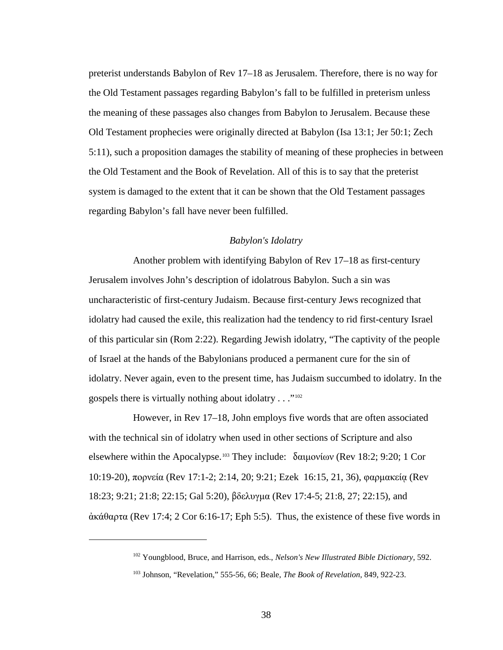preterist understands Babylon of Rev 17–18 as Jerusalem. Therefore, there is no way for the Old Testament passages regarding Babylon's fall to be fulfilled in preterism unless the meaning of these passages also changes from Babylon to Jerusalem. Because these Old Testament prophecies were originally directed at Babylon (Isa 13:1; Jer 50:1; Zech 5:11), such a proposition damages the stability of meaning of these prophecies in between the Old Testament and the Book of Revelation. All of this is to say that the preterist system is damaged to the extent that it can be shown that the Old Testament passages regarding Babylon's fall have never been fulfilled.

#### *Babylon's Idolatry*

Another problem with identifying Babylon of Rev 17–18 as first-century Jerusalem involves John's description of idolatrous Babylon. Such a sin was uncharacteristic of first-century Judaism. Because first-century Jews recognized that idolatry had caused the exile, this realization had the tendency to rid first-century Israel of this particular sin (Rom 2:22). Regarding Jewish idolatry, "The captivity of the people of Israel at the hands of the Babylonians produced a permanent cure for the sin of idolatry. Never again, even to the present time, has Judaism succumbed to idolatry. In the gospels there is virtually nothing about idolatry . . ."[102](#page-37-0)

However, in Rev 17–18, John employs five words that are often associated with the technical sin of idolatry when used in other sections of Scripture and also elsewhere within the Apocalypse.<sup>[103](#page-37-1)</sup> They include: δαιμονίων (Rev 18:2; 9:20; 1 Cor 10:19-20), πορνεία (Rev 17:1-2; 2:14, 20; 9:21; Ezek 16:15, 21, 36), φαρμακείᾳ (Rev 18:23; 9:21; 21:8; 22:15; Gal 5:20), βδελυγμα (Rev 17:4-5; 21:8, 27; 22:15), and ἀκάθαρτα (Rev 17:4; 2 Cor 6:16-17; Eph 5:5). Thus, the existence of these five words in

<span id="page-37-0"></span><sup>102</sup> Youngblood, Bruce, and Harrison, eds., *Nelson's New Illustrated Bible Dictionary*, 592.

<span id="page-37-1"></span><sup>103</sup> Johnson, "Revelation," 555-56, 66; Beale, *The Book of Revelation*, 849, 922-23.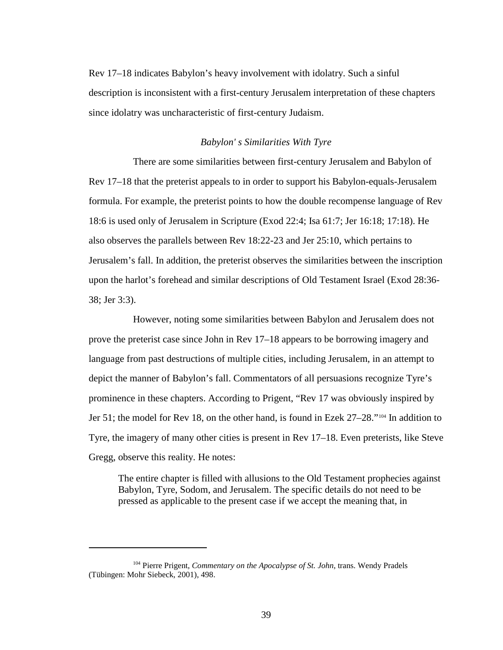Rev 17–18 indicates Babylon's heavy involvement with idolatry. Such a sinful description is inconsistent with a first-century Jerusalem interpretation of these chapters since idolatry was uncharacteristic of first-century Judaism.

### *Babylon' s Similarities With Tyre*

There are some similarities between first-century Jerusalem and Babylon of Rev 17–18 that the preterist appeals to in order to support his Babylon-equals-Jerusalem formula. For example, the preterist points to how the double recompense language of Rev 18:6 is used only of Jerusalem in Scripture (Exod 22:4; Isa 61:7; Jer 16:18; 17:18). He also observes the parallels between Rev 18:22-23 and Jer 25:10, which pertains to Jerusalem's fall. In addition, the preterist observes the similarities between the inscription upon the harlot's forehead and similar descriptions of Old Testament Israel (Exod 28:36- 38; Jer 3:3).

However, noting some similarities between Babylon and Jerusalem does not prove the preterist case since John in Rev 17–18 appears to be borrowing imagery and language from past destructions of multiple cities, including Jerusalem, in an attempt to depict the manner of Babylon's fall. Commentators of all persuasions recognize Tyre's prominence in these chapters. According to Prigent, "Rev 17 was obviously inspired by Jer 51; the model for Rev 18, on the other hand, is found in Ezek 27–28."[104](#page-38-0) In addition to Tyre, the imagery of many other cities is present in Rev 17–18. Even preterists, like Steve Gregg, observe this reality. He notes:

The entire chapter is filled with allusions to the Old Testament prophecies against Babylon, Tyre, Sodom, and Jerusalem. The specific details do not need to be pressed as applicable to the present case if we accept the meaning that, in

<span id="page-38-0"></span><sup>104</sup> Pierre Prigent, *Commentary on the Apocalypse of St. John*, trans. Wendy Pradels (Tübingen: Mohr Siebeck, 2001), 498.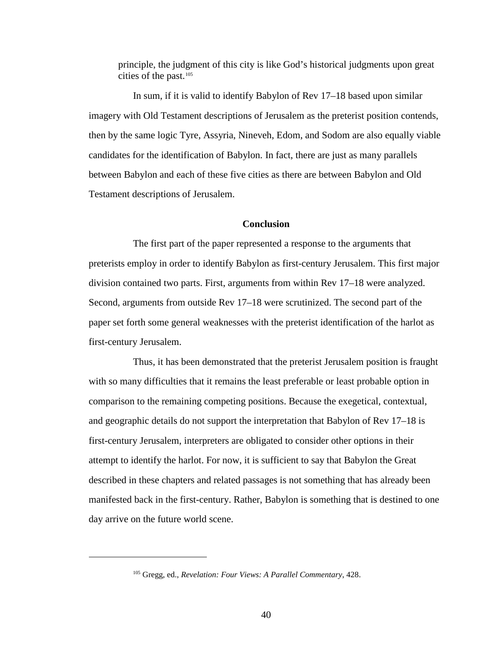principle, the judgment of this city is like God's historical judgments upon great cities of the past.<sup>[105](#page-39-0)</sup>

In sum, if it is valid to identify Babylon of Rev 17–18 based upon similar imagery with Old Testament descriptions of Jerusalem as the preterist position contends, then by the same logic Tyre, Assyria, Nineveh, Edom, and Sodom are also equally viable candidates for the identification of Babylon. In fact, there are just as many parallels between Babylon and each of these five cities as there are between Babylon and Old Testament descriptions of Jerusalem.

### **Conclusion**

The first part of the paper represented a response to the arguments that preterists employ in order to identify Babylon as first-century Jerusalem. This first major division contained two parts. First, arguments from within Rev 17–18 were analyzed. Second, arguments from outside Rev 17–18 were scrutinized. The second part of the paper set forth some general weaknesses with the preterist identification of the harlot as first-century Jerusalem.

Thus, it has been demonstrated that the preterist Jerusalem position is fraught with so many difficulties that it remains the least preferable or least probable option in comparison to the remaining competing positions. Because the exegetical, contextual, and geographic details do not support the interpretation that Babylon of Rev 17–18 is first-century Jerusalem, interpreters are obligated to consider other options in their attempt to identify the harlot. For now, it is sufficient to say that Babylon the Great described in these chapters and related passages is not something that has already been manifested back in the first-century. Rather, Babylon is something that is destined to one day arrive on the future world scene.

<span id="page-39-0"></span><sup>105</sup> Gregg, ed., *Revelation: Four Views: A Parallel Commentary*, 428.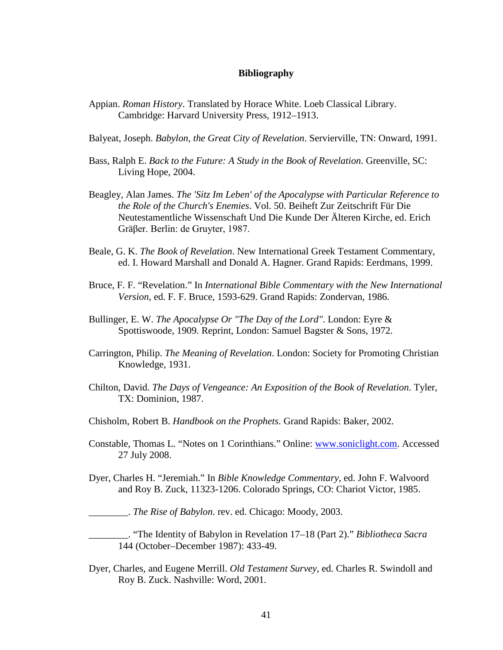### **Bibliography**

- Appian. *Roman History*. Translated by Horace White. Loeb Classical Library. Cambridge: Harvard University Press, 1912–1913.
- Balyeat, Joseph. *Babylon, the Great City of Revelation*. Servierville, TN: Onward, 1991.
- Bass, Ralph E. *Back to the Future: A Study in the Book of Revelation*. Greenville, SC: Living Hope, 2004.
- Beagley, Alan James. *The 'Sitz Im Leben' of the Apocalypse with Particular Reference to the Role of the Church's Enemies*. Vol. 50. Beiheft Zur Zeitschrift Für Die Neutestamentliche Wissenschaft Und Die Kunde Der Älteren Kirche, ed. Erich Gräβer. Berlin: de Gruyter, 1987.
- Beale, G. K. *The Book of Revelation*. New International Greek Testament Commentary, ed. I. Howard Marshall and Donald A. Hagner. Grand Rapids: Eerdmans, 1999.
- Bruce, F. F. "Revelation." In *International Bible Commentary with the New International Version*, ed. F. F. Bruce, 1593-629. Grand Rapids: Zondervan, 1986.
- Bullinger, E. W. *The Apocalypse Or "The Day of the Lord"*. London: Eyre & Spottiswoode, 1909. Reprint, London: Samuel Bagster & Sons, 1972.
- Carrington, Philip. *The Meaning of Revelation*. London: Society for Promoting Christian Knowledge, 1931.
- Chilton, David. *The Days of Vengeance: An Exposition of the Book of Revelation*. Tyler, TX: Dominion, 1987.
- Chisholm, Robert B. *Handbook on the Prophets*. Grand Rapids: Baker, 2002.
- Constable, Thomas L. "Notes on 1 Corinthians." Online: [www.soniclight.com.](http://www.soniclight.com/) Accessed 27 July 2008.
- Dyer, Charles H. "Jeremiah." In *Bible Knowledge Commentary*, ed. John F. Walvoord and Roy B. Zuck, 11323-1206. Colorado Springs, CO: Chariot Victor, 1985.

\_\_\_\_\_\_\_\_. *The Rise of Babylon*. rev. ed. Chicago: Moody, 2003.

\_\_\_\_\_\_\_\_. "The Identity of Babylon in Revelation 17–18 (Part 2)." *Bibliotheca Sacra* 144 (October–December 1987): 433-49.

Dyer, Charles, and Eugene Merrill. *Old Testament Survey*, ed. Charles R. Swindoll and Roy B. Zuck. Nashville: Word, 2001.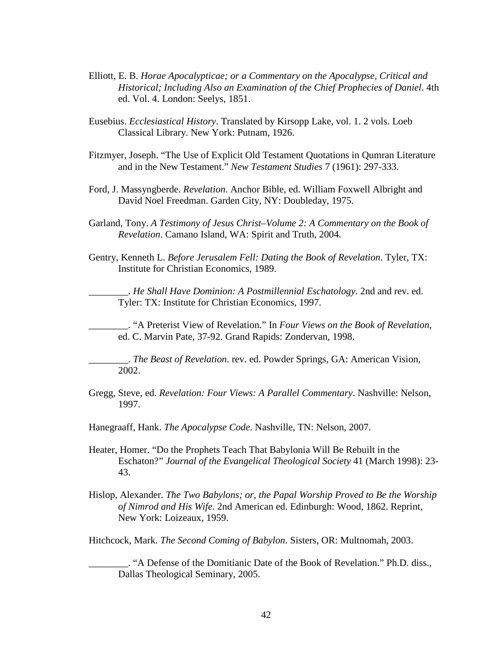- Elliott, E. B. *Horae Apocalypticae; or a Commentary on the Apocalypse, Critical and Historical; Including Also an Examination of the Chief Prophecies of Daniel*. 4th ed. Vol. 4. London: Seelys, 1851.
- Eusebius. *Ecclesiastical History*. Translated by Kirsopp Lake, vol. 1. 2 vols. Loeb Classical Library. New York: Putnam, 1926.
- Fitzmyer, Joseph. "The Use of Explicit Old Testament Quotations in Qumran Literature and in the New Testament." *New Testament Studies* 7 (1961): 297-333.
- Ford, J. Massyngberde. *Revelation*. Anchor Bible, ed. William Foxwell Albright and David Noel Freedman. Garden City, NY: Doubleday, 1975.
- Garland, Tony. *A Testimony of Jesus Christ–Volume 2: A Commentary on the Book of Revelation*. Camano Island, WA: Spirit and Truth, 2004.
- Gentry, Kenneth L. *Before Jerusalem Fell: Dating the Book of Revelation*. Tyler, TX: Institute for Christian Economics, 1989.

\_\_\_\_\_\_\_\_. *He Shall Have Dominion: A Postmillennial Eschatology*. 2nd and rev. ed. Tyler: TX: Institute for Christian Economics, 1997.

\_\_\_\_\_\_\_\_. "A Preterist View of Revelation." In *Four Views on the Book of Revelation*, ed. C. Marvin Pate, 37-92. Grand Rapids: Zondervan, 1998.

\_\_\_\_\_\_\_\_. *The Beast of Revelation*. rev. ed. Powder Springs, GA: American Vision, 2002.

Gregg, Steve, ed. *Revelation: Four Views: A Parallel Commentary*. Nashville: Nelson, 1997.

Hanegraaff, Hank. *The Apocalypse Code*. Nashville, TN: Nelson, 2007.

- Heater, Homer. "Do the Prophets Teach That Babylonia Will Be Rebuilt in the Eschaton?" *Journal of the Evangelical Theological Society* 41 (March 1998): 23- 43.
- Hislop, Alexander. *The Two Babylons; or, the Papal Worship Proved to Be the Worship of Nimrod and His Wife*. 2nd American ed. Edinburgh: Wood, 1862. Reprint, New York: Loizeaux, 1959.

Hitchcock, Mark. *The Second Coming of Babylon*. Sisters, OR: Multnomah, 2003.

\_\_\_\_\_\_\_\_. "A Defense of the Domitianic Date of the Book of Revelation." Ph.D. diss., Dallas Theological Seminary, 2005.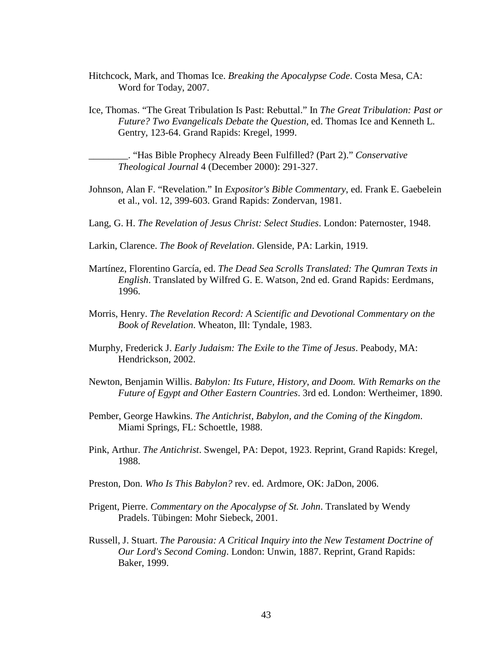- Hitchcock, Mark, and Thomas Ice. *Breaking the Apocalypse Code*. Costa Mesa, CA: Word for Today, 2007.
- Ice, Thomas. "The Great Tribulation Is Past: Rebuttal." In *The Great Tribulation: Past or Future? Two Evangelicals Debate the Question*, ed. Thomas Ice and Kenneth L. Gentry, 123-64. Grand Rapids: Kregel, 1999.

\_\_\_\_\_\_\_\_. "Has Bible Prophecy Already Been Fulfilled? (Part 2)." *Conservative Theological Journal* 4 (December 2000): 291-327.

- Johnson, Alan F. "Revelation." In *Expositor's Bible Commentary*, ed. Frank E. Gaebelein et al., vol. 12, 399-603. Grand Rapids: Zondervan, 1981.
- Lang, G. H. *The Revelation of Jesus Christ: Select Studies*. London: Paternoster, 1948.
- Larkin, Clarence. *The Book of Revelation*. Glenside, PA: Larkin, 1919.
- Martínez, Florentino García, ed. *The Dead Sea Scrolls Translated: The Qumran Texts in English*. Translated by Wilfred G. E. Watson, 2nd ed. Grand Rapids: Eerdmans, 1996.
- Morris, Henry. *The Revelation Record: A Scientific and Devotional Commentary on the Book of Revelation*. Wheaton, Ill: Tyndale, 1983.
- Murphy, Frederick J. *Early Judaism: The Exile to the Time of Jesus*. Peabody, MA: Hendrickson, 2002.
- Newton, Benjamin Willis. *Babylon: Its Future, History, and Doom. With Remarks on the Future of Egypt and Other Eastern Countries*. 3rd ed. London: Wertheimer, 1890.
- Pember, George Hawkins. *The Antichrist, Babylon, and the Coming of the Kingdom*. Miami Springs, FL: Schoettle, 1988.
- Pink, Arthur. *The Antichrist*. Swengel, PA: Depot, 1923. Reprint, Grand Rapids: Kregel, 1988.
- Preston, Don. *Who Is This Babylon?* rev. ed. Ardmore, OK: JaDon, 2006.
- Prigent, Pierre. *Commentary on the Apocalypse of St. John*. Translated by Wendy Pradels. Tübingen: Mohr Siebeck, 2001.
- Russell, J. Stuart. *The Parousia: A Critical Inquiry into the New Testament Doctrine of Our Lord's Second Coming*. London: Unwin, 1887. Reprint, Grand Rapids: Baker, 1999.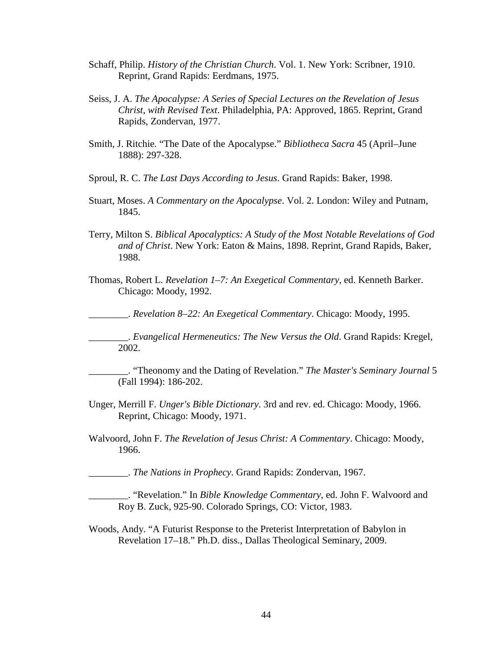- Schaff, Philip. *History of the Christian Church*. Vol. 1. New York: Scribner, 1910. Reprint, Grand Rapids: Eerdmans, 1975.
- Seiss, J. A. *The Apocalypse: A Series of Special Lectures on the Revelation of Jesus Christ, with Revised Text*. Philadelphia, PA: Approved, 1865. Reprint, Grand Rapids, Zondervan, 1977.
- Smith, J. Ritchie. "The Date of the Apocalypse." *Bibliotheca Sacra* 45 (April–June 1888): 297-328.
- Sproul, R. C. *The Last Days According to Jesus*. Grand Rapids: Baker, 1998.
- Stuart, Moses. *A Commentary on the Apocalypse*. Vol. 2. London: Wiley and Putnam, 1845.
- Terry, Milton S. *Biblical Apocalyptics: A Study of the Most Notable Revelations of God and of Christ*. New York: Eaton & Mains, 1898. Reprint, Grand Rapids, Baker, 1988.
- Thomas, Robert L. *Revelation 1–7: An Exegetical Commentary*, ed. Kenneth Barker. Chicago: Moody, 1992.

\_\_\_\_\_\_\_\_. *Revelation 8–22: An Exegetical Commentary*. Chicago: Moody, 1995.

\_\_\_\_\_\_\_\_. *Evangelical Hermeneutics: The New Versus the Old*. Grand Rapids: Kregel, 2002.

\_\_\_\_\_\_\_\_. "Theonomy and the Dating of Revelation." *The Master's Seminary Journal* 5 (Fall 1994): 186-202.

Unger, Merrill F. *Unger's Bible Dictionary*. 3rd and rev. ed. Chicago: Moody, 1966. Reprint, Chicago: Moody, 1971.

Walvoord, John F. *The Revelation of Jesus Christ: A Commentary*. Chicago: Moody, 1966.

\_\_\_\_\_\_\_\_. *The Nations in Prophecy*. Grand Rapids: Zondervan, 1967.

\_\_\_\_\_\_\_\_. "Revelation." In *Bible Knowledge Commentary*, ed. John F. Walvoord and Roy B. Zuck, 925-90. Colorado Springs, CO: Victor, 1983.

Woods, Andy. "A Futurist Response to the Preterist Interpretation of Babylon in Revelation 17–18." Ph.D. diss., Dallas Theological Seminary, 2009.